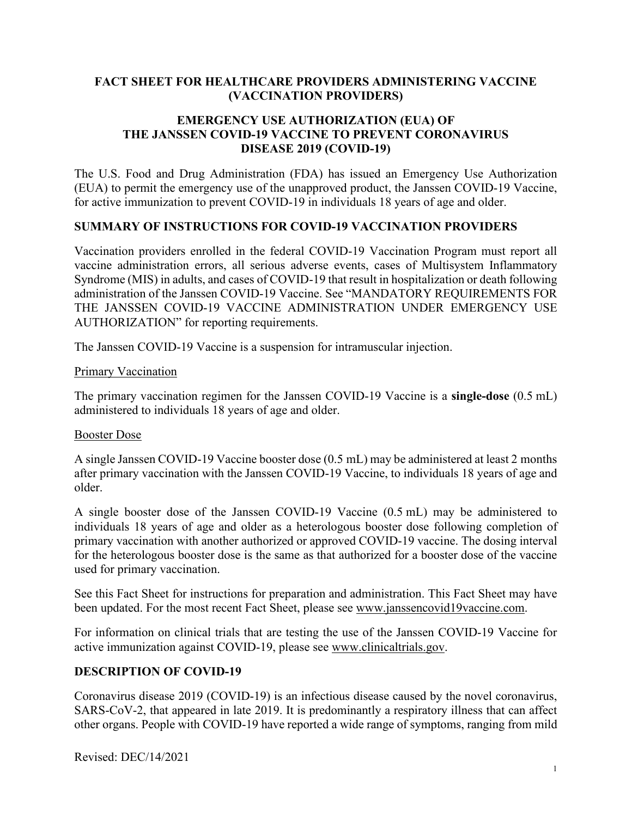## **FACT SHEET FOR HEALTHCARE PROVIDERS ADMINISTERING VACCINE (VACCINATION PROVIDERS)**

#### **EMERGENCY USE AUTHORIZATION (EUA) OF THE JANSSEN COVID-19 VACCINE TO PREVENT CORONAVIRUS DISEASE 2019 (COVID-19)**

The U.S. Food and Drug Administration (FDA) has issued an Emergency Use Authorization (EUA) to permit the emergency use of the unapproved product, the Janssen COVID-19 Vaccine, for active immunization to prevent COVID-19 in individuals 18 years of age and older.

#### **SUMMARY OF INSTRUCTIONS FOR COVID-19 VACCINATION PROVIDERS**

Vaccination providers enrolled in the federal COVID-19 Vaccination Program must report all vaccine administration errors, all serious adverse events, cases of Multisystem Inflammatory Syndrome (MIS) in adults, and cases of COVID-19 that result in hospitalization or death following administration of the Janssen COVID-19 Vaccine. See "MANDATORY REQUIREMENTS FOR THE JANSSEN COVID-19 VACCINE ADMINISTRATION UNDER EMERGENCY USE AUTHORIZATION" for reporting requirements.

The Janssen COVID-19 Vaccine is a suspension for intramuscular injection.

#### Primary Vaccination

The primary vaccination regimen for the Janssen COVID-19 Vaccine is a **single-dose** (0.5 mL) administered to individuals 18 years of age and older.

#### Booster Dose

A single Janssen COVID-19 Vaccine booster dose (0.5 mL) may be administered at least 2 months after primary vaccination with the Janssen COVID-19 Vaccine, to individuals 18 years of age and older.

A single booster dose of the Janssen COVID-19 Vaccine (0.5 mL) may be administered to individuals 18 years of age and older as a heterologous booster dose following completion of primary vaccination with another authorized or approved COVID-19 vaccine. The dosing interval for the heterologous booster dose is the same as that authorized for a booster dose of the vaccine used for primary vaccination.

See this Fact Sheet for instructions for preparation and administration. This Fact Sheet may have been updated. For the most recent Fact Sheet, please see [www.janssencovid19vaccine.com.](http://www.janssencovid19vaccine.com/)

For information on clinical trials that are testing the use of the Janssen COVID-19 Vaccine for active immunization against COVID-19, please see [www.clinicaltrials.gov.](http://www.clinicaltrials.gov/)

#### **DESCRIPTION OF COVID-19**

Coronavirus disease 2019 (COVID-19) is an infectious disease caused by the novel coronavirus, SARS-CoV-2, that appeared in late 2019. It is predominantly a respiratory illness that can affect other organs. People with COVID-19 have reported a wide range of symptoms, ranging from mild

Revised: DEC/14/2021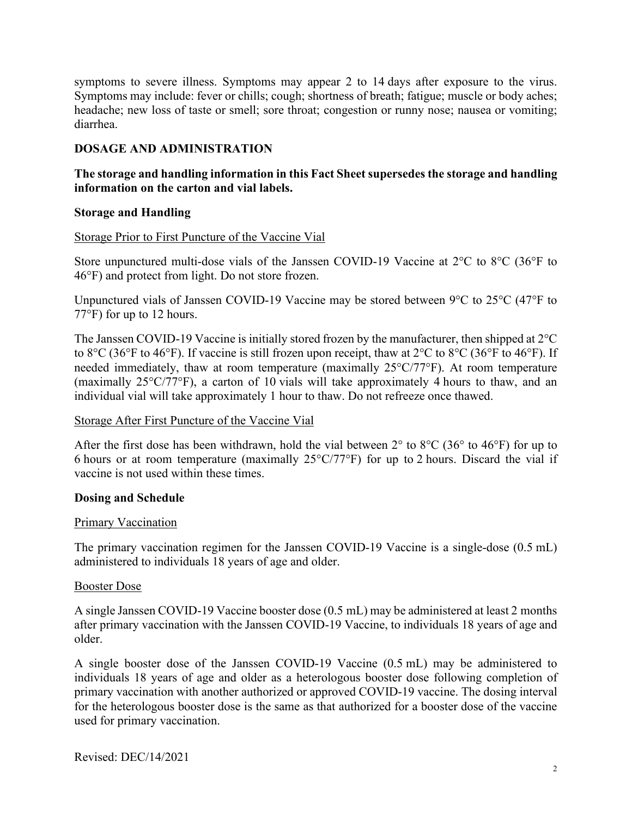symptoms to severe illness. Symptoms may appear 2 to 14 days after exposure to the virus. Symptoms may include: fever or chills; cough; shortness of breath; fatigue; muscle or body aches; headache; new loss of taste or smell; sore throat; congestion or runny nose; nausea or vomiting; diarrhea.

### **DOSAGE AND ADMINISTRATION**

#### **The storage and handling information in this Fact Sheet supersedes the storage and handling information on the carton and vial labels.**

#### **Storage and Handling**

#### Storage Prior to First Puncture of the Vaccine Vial

Store unpunctured multi-dose vials of the Janssen COVID-19 Vaccine at 2°C to 8°C (36°F to 46°F) and protect from light. Do not store frozen.

Unpunctured vials of Janssen COVID-19 Vaccine may be stored between 9°C to 25°C (47°F to 77°F) for up to 12 hours.

The Janssen COVID-19 Vaccine is initially stored frozen by the manufacturer, then shipped at 2°C to 8°C (36°F to 46°F). If vaccine is still frozen upon receipt, thaw at 2°C to 8°C (36°F to 46°F). If needed immediately, thaw at room temperature (maximally 25°C/77°F). At room temperature (maximally 25°C/77°F), a carton of 10 vials will take approximately 4 hours to thaw, and an individual vial will take approximately 1 hour to thaw. Do not refreeze once thawed.

#### Storage After First Puncture of the Vaccine Vial

After the first dose has been withdrawn, hold the vial between  $2^{\circ}$  to  $8^{\circ}$ C (36° to 46°F) for up to 6 hours or at room temperature (maximally  $25^{\circ}$ C/77°F) for up to 2 hours. Discard the vial if vaccine is not used within these times.

#### **Dosing and Schedule**

#### Primary Vaccination

The primary vaccination regimen for the Janssen COVID-19 Vaccine is a single-dose (0.5 mL) administered to individuals 18 years of age and older.

#### Booster Dose

A single Janssen COVID-19 Vaccine booster dose (0.5 mL) may be administered at least 2 months after primary vaccination with the Janssen COVID-19 Vaccine, to individuals 18 years of age and older.

A single booster dose of the Janssen COVID-19 Vaccine (0.5 mL) may be administered to individuals 18 years of age and older as a heterologous booster dose following completion of primary vaccination with another authorized or approved COVID-19 vaccine. The dosing interval for the heterologous booster dose is the same as that authorized for a booster dose of the vaccine used for primary vaccination.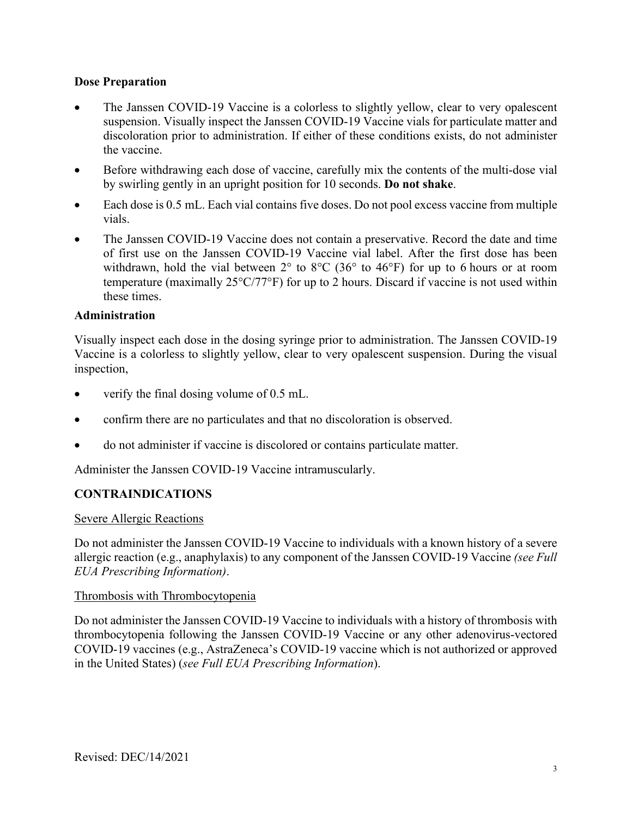## **Dose Preparation**

- The Janssen COVID-19 Vaccine is a colorless to slightly yellow, clear to very opalescent suspension. Visually inspect the Janssen COVID-19 Vaccine vials for particulate matter and discoloration prior to administration. If either of these conditions exists, do not administer the vaccine.
- Before withdrawing each dose of vaccine, carefully mix the contents of the multi-dose vial by swirling gently in an upright position for 10 seconds. **Do not shake**.
- Each dose is 0.5 mL. Each vial contains five doses. Do not pool excess vaccine from multiple vials.
- The Janssen COVID-19 Vaccine does not contain a preservative. Record the date and time of first use on the Janssen COVID-19 Vaccine vial label. After the first dose has been withdrawn, hold the vial between  $2^{\circ}$  to  $8^{\circ}$ C (36 $^{\circ}$  to 46 $^{\circ}$ F) for up to 6 hours or at room temperature (maximally 25°C/77°F) for up to 2 hours. Discard if vaccine is not used within these times.

### **Administration**

Visually inspect each dose in the dosing syringe prior to administration. The Janssen COVID-19 Vaccine is a colorless to slightly yellow, clear to very opalescent suspension. During the visual inspection,

- verify the final dosing volume of 0.5 mL.
- confirm there are no particulates and that no discoloration is observed.
- do not administer if vaccine is discolored or contains particulate matter.

Administer the Janssen COVID-19 Vaccine intramuscularly.

## **CONTRAINDICATIONS**

#### Severe Allergic Reactions

Do not administer the Janssen COVID-19 Vaccine to individuals with a known history of a severe allergic reaction (e.g., anaphylaxis) to any component of the Janssen COVID-19 Vaccine *(see Full EUA Prescribing Information)*.

#### Thrombosis with Thrombocytopenia

Do not administer the Janssen COVID-19 Vaccine to individuals with a history of thrombosis with thrombocytopenia following the Janssen COVID-19 Vaccine or any other adenovirus-vectored COVID-19 vaccines (e.g., AstraZeneca's COVID-19 vaccine which is not authorized or approved in the United States) (*see Full EUA Prescribing Information*).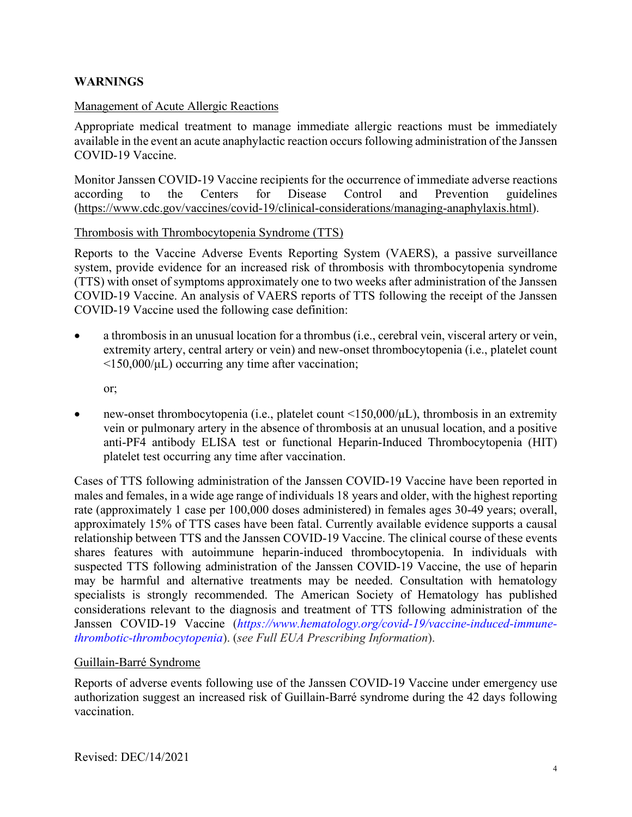## **WARNINGS**

#### Management of Acute Allergic Reactions

Appropriate medical treatment to manage immediate allergic reactions must be immediately available in the event an acute anaphylactic reaction occurs following administration of the Janssen COVID-19 Vaccine.

Monitor Janssen COVID-19 Vaccine recipients for the occurrence of immediate adverse reactions according to the Centers for Disease Control and Prevention guidelines [\(https://www.cdc.gov/vaccines/covid-19/clinical-considerations/managing-anaphylaxis.html\)](https://www.cdc.gov/vaccines/covid-19/clinical-considerations/managing-anaphylaxis.html).

#### Thrombosis with Thrombocytopenia Syndrome (TTS)

Reports to the Vaccine Adverse Events Reporting System (VAERS), a passive surveillance system, provide evidence for an increased risk of thrombosis with thrombocytopenia syndrome (TTS) with onset of symptoms approximately one to two weeks after administration of the Janssen COVID-19 Vaccine. An analysis of VAERS reports of TTS following the receipt of the Janssen COVID-19 Vaccine used the following case definition:

• a thrombosis in an unusual location for a thrombus (i.e., cerebral vein, visceral artery or vein, extremity artery, central artery or vein) and new-onset thrombocytopenia (i.e., platelet count  $\langle 150,000/\mu L \rangle$  occurring any time after vaccination;

or;

• new-onset thrombocytopenia (i.e., platelet count  $\leq 150,000/\mu L$ ), thrombosis in an extremity vein or pulmonary artery in the absence of thrombosis at an unusual location, and a positive anti-PF4 antibody ELISA test or functional Heparin-Induced Thrombocytopenia (HIT) platelet test occurring any time after vaccination.

Cases of TTS following administration of the Janssen COVID-19 Vaccine have been reported in males and females, in a wide age range of individuals 18 years and older, with the highest reporting rate (approximately 1 case per 100,000 doses administered) in females ages 30-49 years; overall, approximately 15% of TTS cases have been fatal. Currently available evidence supports a causal relationship between TTS and the Janssen COVID-19 Vaccine. The clinical course of these events shares features with autoimmune heparin-induced thrombocytopenia. In individuals with suspected TTS following administration of the Janssen COVID-19 Vaccine, the use of heparin may be harmful and alternative treatments may be needed. Consultation with hematology specialists is strongly recommended. The American Society of Hematology has published considerations relevant to the diagnosis and treatment of TTS following administration of the Janssen COVID-19 Vaccine (*[https://www.hematology.org/covid-19/vaccine-induced-immune](https://www.hematology.org/covid-19/vaccine-induced-immune-thrombotic-thrombocytopenia)[thrombotic-thrombocytopenia](https://www.hematology.org/covid-19/vaccine-induced-immune-thrombotic-thrombocytopenia)*). (*see Full EUA Prescribing Information*).

#### Guillain-Barré Syndrome

Reports of adverse events following use of the Janssen COVID-19 Vaccine under emergency use authorization suggest an increased risk of Guillain-Barré syndrome during the 42 days following vaccination.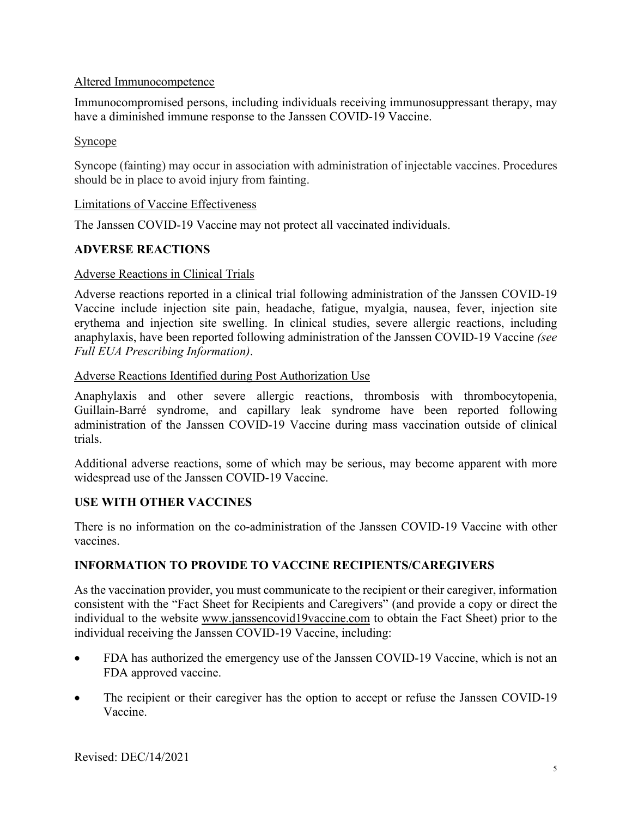## Altered Immunocompetence

Immunocompromised persons, including individuals receiving immunosuppressant therapy, may have a diminished immune response to the Janssen COVID-19 Vaccine.

## Syncope

Syncope (fainting) may occur in association with administration of injectable vaccines. Procedures should be in place to avoid injury from fainting.

## Limitations of Vaccine Effectiveness

The Janssen COVID-19 Vaccine may not protect all vaccinated individuals.

## **ADVERSE REACTIONS**

## Adverse Reactions in Clinical Trials

Adverse reactions reported in a clinical trial following administration of the Janssen COVID-19 Vaccine include injection site pain, headache, fatigue, myalgia, nausea, fever, injection site erythema and injection site swelling. In clinical studies, severe allergic reactions, including anaphylaxis, have been reported following administration of the Janssen COVID-19 Vaccine *(see Full EUA Prescribing Information)*.

## Adverse Reactions Identified during Post Authorization Use

Anaphylaxis and other severe allergic reactions, thrombosis with thrombocytopenia, Guillain-Barré syndrome, and capillary leak syndrome have been reported following administration of the Janssen COVID-19 Vaccine during mass vaccination outside of clinical trials.

Additional adverse reactions, some of which may be serious, may become apparent with more widespread use of the Janssen COVID-19 Vaccine.

## **USE WITH OTHER VACCINES**

There is no information on the co-administration of the Janssen COVID-19 Vaccine with other vaccines.

## **INFORMATION TO PROVIDE TO VACCINE RECIPIENTS/CAREGIVERS**

As the vaccination provider, you must communicate to the recipient or their caregiver, information consistent with the "Fact Sheet for Recipients and Caregivers" (and provide a copy or direct the individual to the website [www.janssencovid19vaccine.com](http://www.janssencovid19vaccine.com/) to obtain the Fact Sheet) prior to the individual receiving the Janssen COVID-19 Vaccine, including:

- FDA has authorized the emergency use of the Janssen COVID-19 Vaccine, which is not an FDA approved vaccine.
- The recipient or their caregiver has the option to accept or refuse the Janssen COVID-19 Vaccine.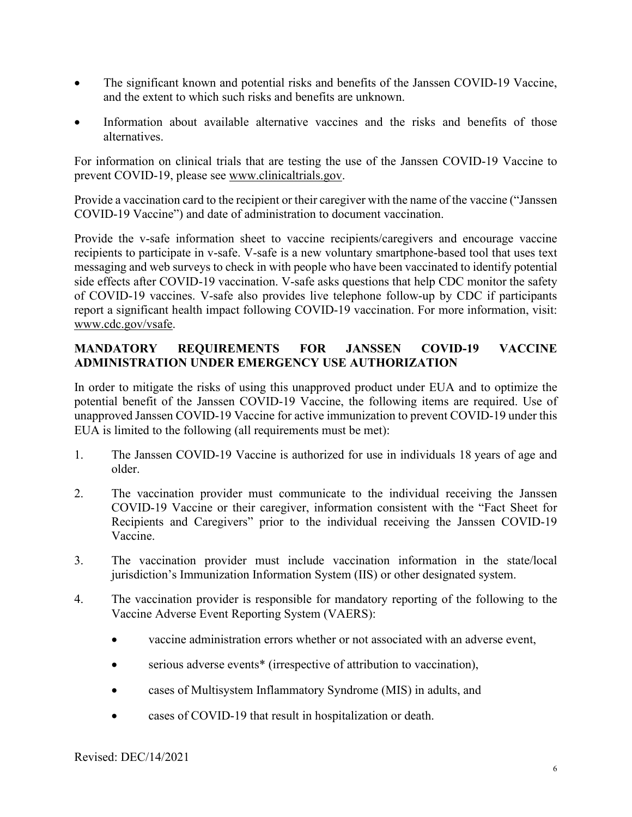- The significant known and potential risks and benefits of the Janssen COVID-19 Vaccine, and the extent to which such risks and benefits are unknown.
- Information about available alternative vaccines and the risks and benefits of those alternatives.

For information on clinical trials that are testing the use of the Janssen COVID-19 Vaccine to prevent COVID-19, please see [www.clinicaltrials.gov.](http://www.clinicaltrials.gov/)

Provide a vaccination card to the recipient or their caregiver with the name of the vaccine ("Janssen COVID-19 Vaccine") and date of administration to document vaccination.

Provide the v-safe information sheet to vaccine recipients/caregivers and encourage vaccine recipients to participate in v-safe. V-safe is a new voluntary smartphone-based tool that uses text messaging and web surveys to check in with people who have been vaccinated to identify potential side effects after COVID-19 vaccination. V-safe asks questions that help CDC monitor the safety of COVID-19 vaccines. V-safe also provides live telephone follow-up by CDC if participants report a significant health impact following COVID-19 vaccination. For more information, visit: www.cdc.gov/vsafe.

## **MANDATORY REQUIREMENTS FOR JANSSEN COVID-19 VACCINE ADMINISTRATION UNDER EMERGENCY USE AUTHORIZATION**

In order to mitigate the risks of using this unapproved product under EUA and to optimize the potential benefit of the Janssen COVID-19 Vaccine, the following items are required. Use of unapproved Janssen COVID-19 Vaccine for active immunization to prevent COVID-19 under this EUA is limited to the following (all requirements must be met):

- 1. The Janssen COVID-19 Vaccine is authorized for use in individuals 18 years of age and older.
- 2. The vaccination provider must communicate to the individual receiving the Janssen COVID-19 Vaccine or their caregiver, information consistent with the "Fact Sheet for Recipients and Caregivers" prior to the individual receiving the Janssen COVID-19 Vaccine.
- 3. The vaccination provider must include vaccination information in the state/local jurisdiction's Immunization Information System (IIS) or other designated system.
- 4. The vaccination provider is responsible for mandatory reporting of the following to the Vaccine Adverse Event Reporting System (VAERS):
	- vaccine administration errors whether or not associated with an adverse event,
	- serious adverse events<sup>\*</sup> (irrespective of attribution to vaccination),
	- cases of Multisystem Inflammatory Syndrome (MIS) in adults, and
	- cases of COVID-19 that result in hospitalization or death.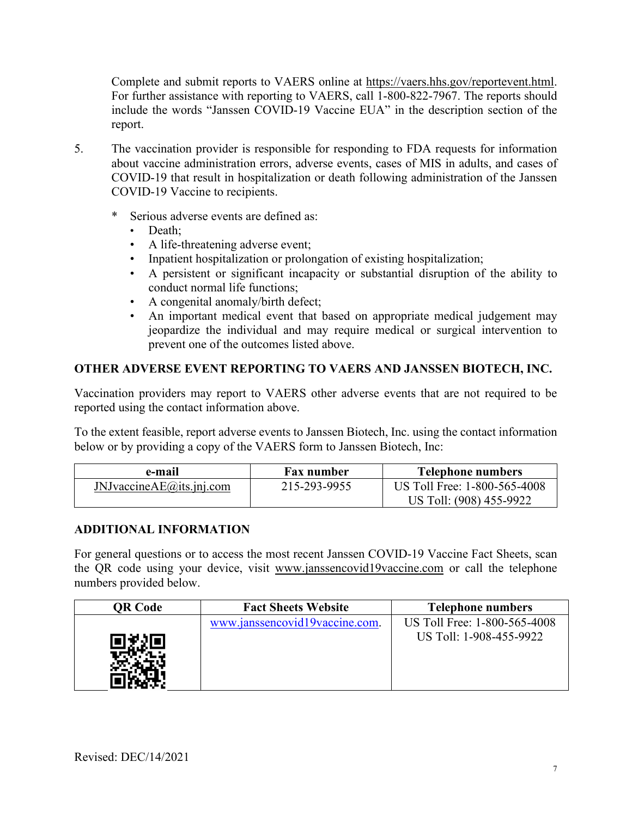Complete and submit reports to VAERS online at [https://vaers.hhs.gov/reportevent.html.](https://vaers.hhs.gov/reportevent.html) For further assistance with reporting to VAERS, call 1-800-822-7967. The reports should include the words "Janssen COVID-19 Vaccine EUA" in the description section of the report.

- 5. The vaccination provider is responsible for responding to FDA requests for information about vaccine administration errors, adverse events, cases of MIS in adults, and cases of COVID-19 that result in hospitalization or death following administration of the Janssen COVID-19 Vaccine to recipients.
	- \* Serious adverse events are defined as:
		- Death:
		- A life-threatening adverse event;
		- Inpatient hospitalization or prolongation of existing hospitalization;
		- A persistent or significant incapacity or substantial disruption of the ability to conduct normal life functions;
		- A congenital anomaly/birth defect;
		- An important medical event that based on appropriate medical judgement may jeopardize the individual and may require medical or surgical intervention to prevent one of the outcomes listed above.

## **OTHER ADVERSE EVENT REPORTING TO VAERS AND JANSSEN BIOTECH, INC.**

Vaccination providers may report to VAERS other adverse events that are not required to be reported using the contact information above.

To the extent feasible, report adverse events to Janssen Biotech, Inc. using the contact information below or by providing a copy of the VAERS form to Janssen Biotech, Inc:

| e-mail                       | <b>Fax number</b> | <b>Telephone numbers</b>     |
|------------------------------|-------------------|------------------------------|
| JNJvaccine $AE@$ its.jnj.com | 215-293-9955      | US Toll Free: 1-800-565-4008 |
|                              |                   | US Toll: (908) 455-9922      |

## **ADDITIONAL INFORMATION**

For general questions or to access the most recent Janssen COVID-19 Vaccine Fact Sheets, scan the QR code using your device, visit [www.janssencovid19vaccine.com](http://www.janssencovid19vaccine.com/) or call the telephone numbers provided below.

| <b>OR Code</b> | <b>Fact Sheets Website</b>     | <b>Telephone numbers</b>     |
|----------------|--------------------------------|------------------------------|
|                | www.janssencovid19vaccine.com. | US Toll Free: 1-800-565-4008 |
|                |                                | US Toll: 1-908-455-9922      |
|                |                                |                              |
|                |                                |                              |
|                |                                |                              |
|                |                                |                              |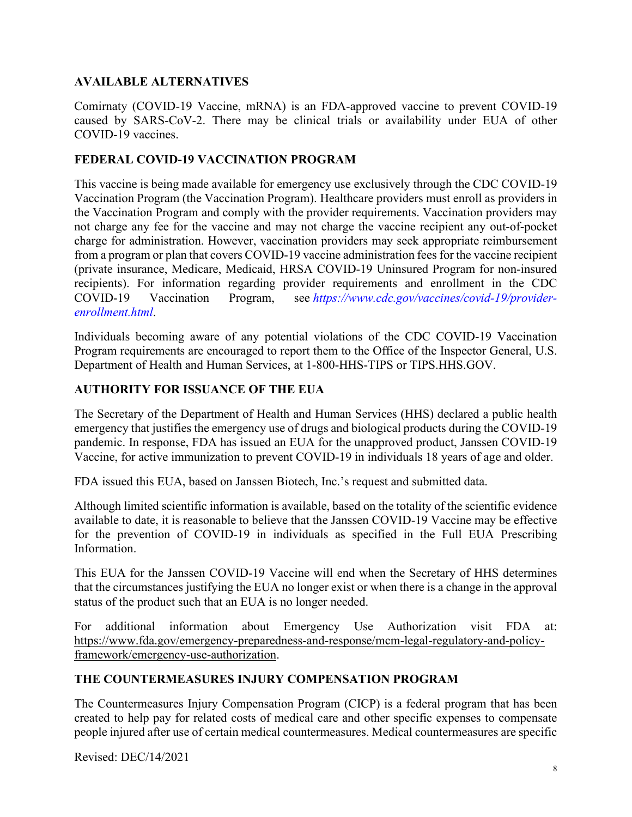## **AVAILABLE ALTERNATIVES**

Comirnaty (COVID-19 Vaccine, mRNA) is an FDA-approved vaccine to prevent COVID-19 caused by SARS-CoV-2. There may be clinical trials or availability under EUA of other COVID-19 vaccines.

## **FEDERAL COVID-19 VACCINATION PROGRAM**

This vaccine is being made available for emergency use exclusively through the CDC COVID-19 Vaccination Program (the Vaccination Program). Healthcare providers must enroll as providers in the Vaccination Program and comply with the provider requirements. Vaccination providers may not charge any fee for the vaccine and may not charge the vaccine recipient any out-of-pocket charge for administration. However, vaccination providers may seek appropriate reimbursement from a program or plan that covers COVID-19 vaccine administration fees for the vaccine recipient (private insurance, Medicare, Medicaid, HRSA COVID-19 Uninsured Program for non-insured recipients). For information regarding provider requirements and enrollment in the CDC COVID-19 Vaccination Program, see *[https://www.cdc.gov/vaccines/covid-19/provider](https://www.cdc.gov/vaccines/covid-19/provider-enrollment.html)[enrollment.html](https://www.cdc.gov/vaccines/covid-19/provider-enrollment.html)*.

Individuals becoming aware of any potential violations of the CDC COVID-19 Vaccination Program requirements are encouraged to report them to the Office of the Inspector General, U.S. Department of Health and Human Services, at 1-800-HHS-TIPS or TIPS.HHS.GOV.

#### **AUTHORITY FOR ISSUANCE OF THE EUA**

The Secretary of the Department of Health and Human Services (HHS) declared a public health emergency that justifies the emergency use of drugs and biological products during the COVID-19 pandemic. In response, FDA has issued an EUA for the unapproved product, Janssen COVID-19 Vaccine, for active immunization to prevent COVID-19 in individuals 18 years of age and older.

FDA issued this EUA, based on Janssen Biotech, Inc.'s request and submitted data.

Although limited scientific information is available, based on the totality of the scientific evidence available to date, it is reasonable to believe that the Janssen COVID-19 Vaccine may be effective for the prevention of COVID-19 in individuals as specified in the Full EUA Prescribing Information.

This EUA for the Janssen COVID-19 Vaccine will end when the Secretary of HHS determines that the circumstances justifying the EUA no longer exist or when there is a change in the approval status of the product such that an EUA is no longer needed.

For additional information about Emergency Use Authorization visit FDA at: [https://www.fda.gov/emergency-preparedness-and-response/mcm-legal-regulatory-and-policy](https://www.fda.gov/emergency-preparedness-and-response/mcm-legal-regulatory-and-policy-framework/emergency-use-authorization)[framework/emergency-use-authorization.](https://www.fda.gov/emergency-preparedness-and-response/mcm-legal-regulatory-and-policy-framework/emergency-use-authorization)

## **THE COUNTERMEASURES INJURY COMPENSATION PROGRAM**

The Countermeasures Injury Compensation Program (CICP) is a federal program that has been created to help pay for related costs of medical care and other specific expenses to compensate people injured after use of certain medical countermeasures. Medical countermeasures are specific

Revised: DEC/14/2021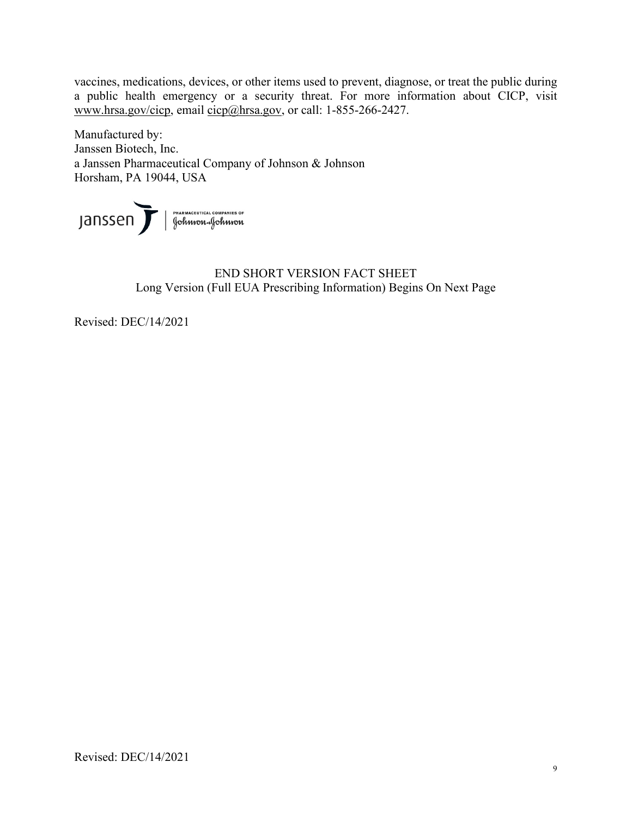vaccines, medications, devices, or other items used to prevent, diagnose, or treat the public during a public health emergency or a security threat. For more information about CICP, visit [www.hrsa.gov/cicp,](http://www.hrsa.gov/cicp) email [cicp@hrsa.gov,](mailto:cicp@hrsa.gov) or call: 1-855-266-2427.

Manufactured by: Janssen Biotech, Inc. a Janssen Pharmaceutical Company of Johnson & Johnson Horsham, PA 19044, USA

JANSSEN Schwarmaceurical COMPANIES OF

## END SHORT VERSION FACT SHEET Long Version (Full EUA Prescribing Information) Begins On Next Page

Revised: DEC/14/2021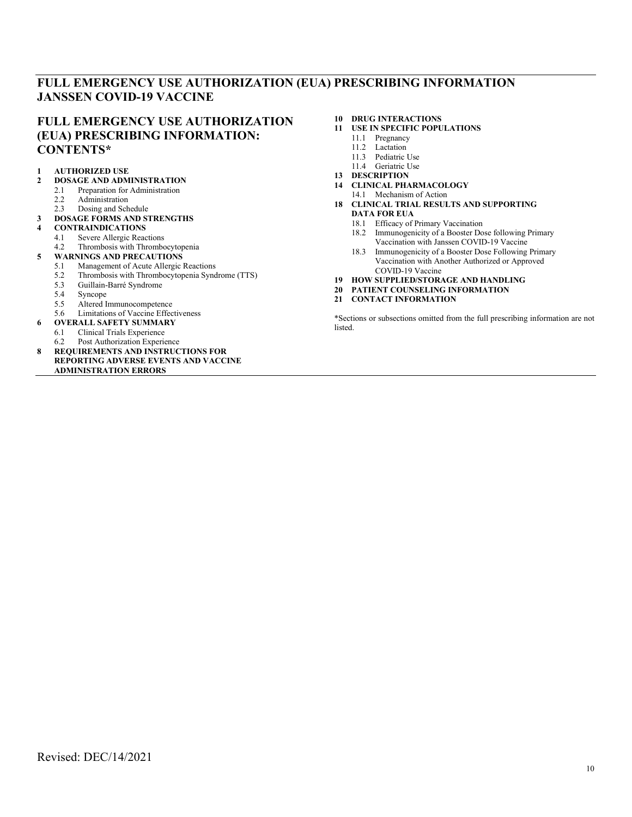## **FULL EMERGENCY USE AUTHORIZATION (EUA) PRESCRIBING INFORMATION JANSSEN COVID-19 VACCINE**

#### **FULL EMERGENCY USE AUTHORIZATION (EUA) PRESCRIBING INFORMATION: CONTENTS\***

## **[1](#page-10-0) [AUTHORIZED USE](#page-10-0)**

- **2 [DOSAGE AND ADMINISTRATION](#page-10-1)**
- 2.1 [Preparation for Administration](#page-10-2)<br>2.2 Administration
- 2.2 [Administration](#page-10-3)<br>2.3 Dosing and Sch
- [Dosing and Schedule](#page-10-4)
- **3 [DOSAGE FORMS AND STRENGTHS](#page-11-0)**

# **[4](#page-11-1) [CONTRAINDICATIONS](#page-11-1)**

- [Severe Allergic Reactions](#page-11-2)
- 4.2 [Thrombosis with Thrombocytopenia](#page-11-3)

## **[5](#page-11-4) [WARNINGS AND PRECAUTIONS](#page-11-4)**<br>5.1 **Management of Acute Allergic**

- [Management of Acute Allergic Reactions](#page-11-5)
	- 5.2 [Thrombosis with Thrombocytopenia Syndrome \(TTS\)](#page-11-6)
	- 5.3 [Guillain-Barré Syndrome](#page-12-0)<br>5.4 Syncope
	- 5.4 [Syncope](#page-12-1)<br>5.5 Altered I
- 5.5 [Altered Immunocompetence](#page-13-0)
- 5.6 [Limitations of Vaccine Effectiveness](#page-13-1)
- **[6](#page-13-2) [OVERALL SAFETY SUMMARY](#page-13-2)**
- 6.1 [Clinical Trials Experience](#page-13-3)
	- 6.2 [Post Authorization Experience](#page-20-0)
- **8 [REQUIREMENTS AND INSTRUCTIONS FOR](#page-21-0)  [REPORTING ADVERSE EVENTS AND VACCINE](#page-21-0)  [ADMINISTRATION ERRORS](#page-21-0)**

#### **[10](#page-22-0) [DRUG INTERACTIONS](#page-22-0)**

- **[11](#page-23-0) [USE IN SPECIFIC POPULATIONS](#page-23-0)**
	- 11.1 [Pregnancy](#page-23-1)<br>11.2 Lactation
	- [Lactation](#page-23-2)
	- 11.3 [Pediatric Use](#page-23-3)
	- 11.4 [Geriatric Use](#page-23-4)
- **[13](#page-24-0) [DESCRIPTION](#page-24-0)**
- **[14](#page-24-1) [CLINICAL PHARMACOLOGY](#page-24-1)** 14.1 [Mechanism of Action](#page-24-2)
- **18 [CLINICAL TRIAL RESULTS AND SUPPORTING](#page-24-3)  [DATA FOR EUA](#page-24-3)**
	- 18.1 [Efficacy of Primary Vaccination](#page-24-4)
	- 18.2 [Immunogenicity of a Booster Dose following Primary](#page-28-0)  [Vaccination with Janssen COVID-19 Vaccine](#page-28-0)
	- 18.3 [Immunogenicity of a Booster Dose Following Primary](#page-29-0)  [Vaccination with Another Authorized or Approved](#page-29-0)  [COVID-19 Vaccine](#page-29-0)
- **[19](#page-30-0) [HOW SUPPLIED/STORAGE AND HANDLING](#page-30-0)**
- **20 [PATIENT COUNSELING INFORMATION](#page-30-1)**
- **[21](#page-31-0) [CONTACT INFORMATION](#page-31-0)**

\*Sections or subsections omitted from the full prescribing information are not listed.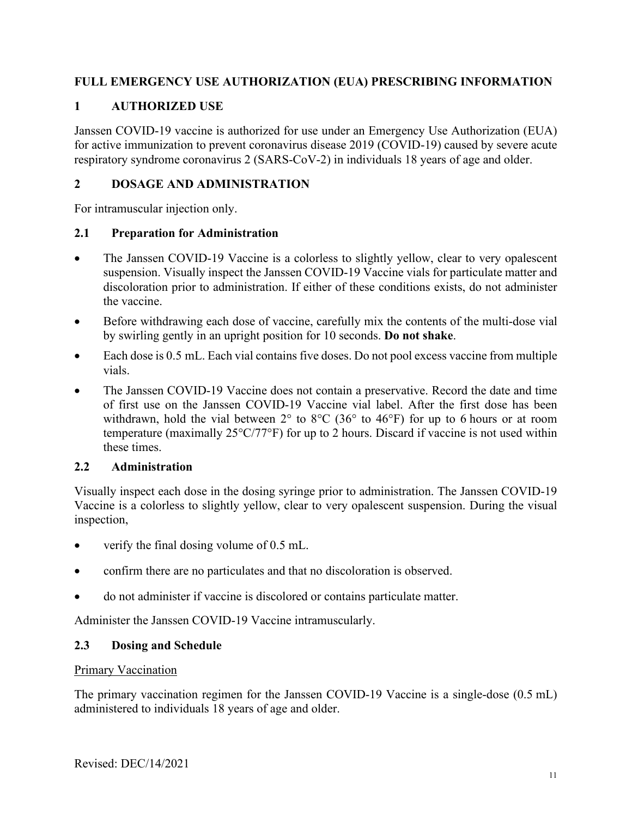## **FULL EMERGENCY USE AUTHORIZATION (EUA) PRESCRIBING INFORMATION**

## <span id="page-10-0"></span>**1 AUTHORIZED USE**

Janssen COVID-19 vaccine is authorized for use under an Emergency Use Authorization (EUA) for active immunization to prevent coronavirus disease 2019 (COVID-19) caused by severe acute respiratory syndrome coronavirus 2 (SARS-CoV-2) in individuals 18 years of age and older.

## <span id="page-10-1"></span>**2 DOSAGE AND ADMINISTRATION**

For intramuscular injection only.

#### <span id="page-10-2"></span>**2.1 Preparation for Administration**

- The Janssen COVID-19 Vaccine is a colorless to slightly yellow, clear to very opalescent suspension. Visually inspect the Janssen COVID-19 Vaccine vials for particulate matter and discoloration prior to administration. If either of these conditions exists, do not administer the vaccine.
- Before withdrawing each dose of vaccine, carefully mix the contents of the multi-dose vial by swirling gently in an upright position for 10 seconds. **Do not shake**.
- Each dose is 0.5 mL. Each vial contains five doses. Do not pool excess vaccine from multiple vials.
- The Janssen COVID-19 Vaccine does not contain a preservative. Record the date and time of first use on the Janssen COVID-19 Vaccine vial label. After the first dose has been withdrawn, hold the vial between 2° to 8°C (36° to 46°F) for up to 6 hours or at room temperature (maximally 25°C/77°F) for up to 2 hours. Discard if vaccine is not used within these times.

## <span id="page-10-3"></span>**2.2 Administration**

Visually inspect each dose in the dosing syringe prior to administration. The Janssen COVID-19 Vaccine is a colorless to slightly yellow, clear to very opalescent suspension. During the visual inspection,

- verify the final dosing volume of 0.5 mL.
- confirm there are no particulates and that no discoloration is observed.
- do not administer if vaccine is discolored or contains particulate matter.

Administer the Janssen COVID-19 Vaccine intramuscularly.

## <span id="page-10-4"></span>**2.3 Dosing and Schedule**

#### Primary Vaccination

The primary vaccination regimen for the Janssen COVID-19 Vaccine is a single-dose (0.5 mL) administered to individuals 18 years of age and older.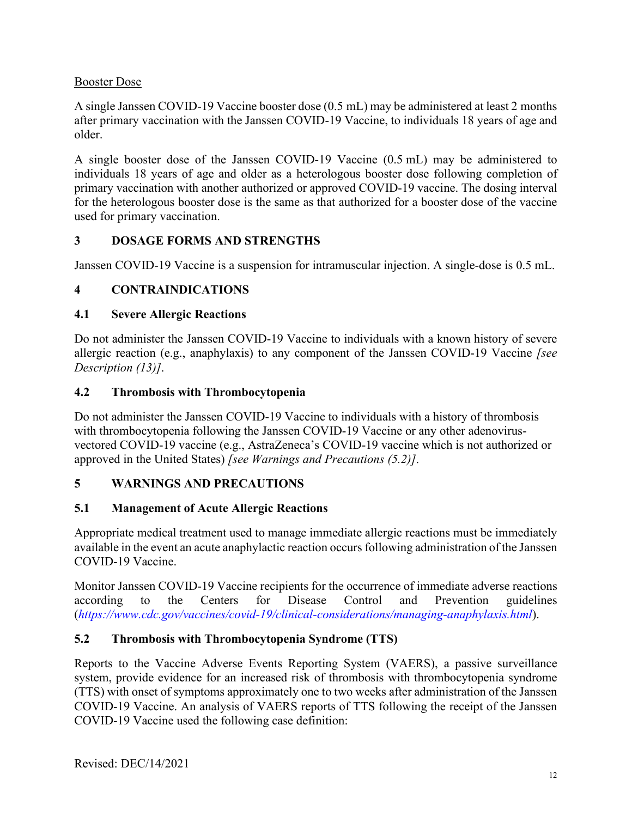## Booster Dose

A single Janssen COVID-19 Vaccine booster dose (0.5 mL) may be administered at least 2 months after primary vaccination with the Janssen COVID-19 Vaccine, to individuals 18 years of age and older.

A single booster dose of the Janssen COVID-19 Vaccine (0.5 mL) may be administered to individuals 18 years of age and older as a heterologous booster dose following completion of primary vaccination with another authorized or approved COVID-19 vaccine. The dosing interval for the heterologous booster dose is the same as that authorized for a booster dose of the vaccine used for primary vaccination.

## <span id="page-11-0"></span>**3 DOSAGE FORMS AND STRENGTHS**

Janssen COVID-19 Vaccine is a suspension for intramuscular injection. A single-dose is 0.5 mL.

## <span id="page-11-1"></span>**4 CONTRAINDICATIONS**

## <span id="page-11-2"></span>**4.1 Severe Allergic Reactions**

Do not administer the Janssen COVID-19 Vaccine to individuals with a known history of severe allergic reaction (e.g., anaphylaxis) to any component of the Janssen COVID-19 Vaccine *[see Description (13)]*.

## <span id="page-11-3"></span>**4.2 Thrombosis with Thrombocytopenia**

Do not administer the Janssen COVID-19 Vaccine to individuals with a history of thrombosis with thrombocytopenia following the Janssen COVID-19 Vaccine or any other adenovirusvectored COVID-19 vaccine (e.g., AstraZeneca's COVID-19 vaccine which is not authorized or approved in the United States) *[see Warnings and Precautions (5.2)]*.

## <span id="page-11-4"></span>**5 WARNINGS AND PRECAUTIONS**

## <span id="page-11-5"></span>**5.1 Management of Acute Allergic Reactions**

Appropriate medical treatment used to manage immediate allergic reactions must be immediately available in the event an acute anaphylactic reaction occurs following administration of the Janssen COVID-19 Vaccine.

Monitor Janssen COVID-19 Vaccine recipients for the occurrence of immediate adverse reactions according to the Centers for Disease Control and Prevention guidelines (*<https://www.cdc.gov/vaccines/covid-19/clinical-considerations/managing-anaphylaxis.html>*).

## <span id="page-11-6"></span>**5.2 Thrombosis with Thrombocytopenia Syndrome (TTS)**

Reports to the Vaccine Adverse Events Reporting System (VAERS), a passive surveillance system, provide evidence for an increased risk of thrombosis with thrombocytopenia syndrome (TTS) with onset of symptoms approximately one to two weeks after administration of the Janssen COVID-19 Vaccine. An analysis of VAERS reports of TTS following the receipt of the Janssen COVID-19 Vaccine used the following case definition: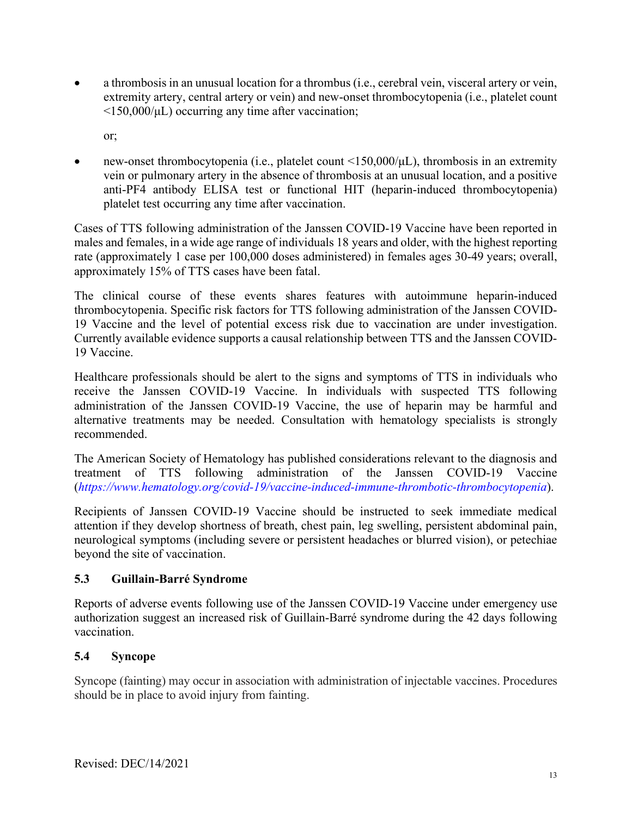• a thrombosis in an unusual location for a thrombus (i.e., cerebral vein, visceral artery or vein, extremity artery, central artery or vein) and new-onset thrombocytopenia (i.e., platelet count  $\langle 150000/\mu L \rangle$  occurring any time after vaccination;

or;

• new-onset thrombocytopenia (i.e., platelet count <150,000/μL), thrombosis in an extremity vein or pulmonary artery in the absence of thrombosis at an unusual location, and a positive anti-PF4 antibody ELISA test or functional HIT (heparin-induced thrombocytopenia) platelet test occurring any time after vaccination.

Cases of TTS following administration of the Janssen COVID-19 Vaccine have been reported in males and females, in a wide age range of individuals 18 years and older, with the highest reporting rate (approximately 1 case per 100,000 doses administered) in females ages 30-49 years; overall, approximately 15% of TTS cases have been fatal.

The clinical course of these events shares features with autoimmune heparin-induced thrombocytopenia. Specific risk factors for TTS following administration of the Janssen COVID-19 Vaccine and the level of potential excess risk due to vaccination are under investigation. Currently available evidence supports a causal relationship between TTS and the Janssen COVID-19 Vaccine.

Healthcare professionals should be alert to the signs and symptoms of TTS in individuals who receive the Janssen COVID-19 Vaccine. In individuals with suspected TTS following administration of the Janssen COVID-19 Vaccine, the use of heparin may be harmful and alternative treatments may be needed. Consultation with hematology specialists is strongly recommended.

The American Society of Hematology has published considerations relevant to the diagnosis and treatment of TTS following administration of the Janssen COVID-19 Vaccine (*<https://www.hematology.org/covid-19/vaccine-induced-immune-thrombotic-thrombocytopenia>*).

Recipients of Janssen COVID-19 Vaccine should be instructed to seek immediate medical attention if they develop shortness of breath, chest pain, leg swelling, persistent abdominal pain, neurological symptoms (including severe or persistent headaches or blurred vision), or petechiae beyond the site of vaccination.

## <span id="page-12-0"></span>**5.3 Guillain-Barré Syndrome**

Reports of adverse events following use of the Janssen COVID-19 Vaccine under emergency use authorization suggest an increased risk of Guillain-Barré syndrome during the 42 days following vaccination.

## <span id="page-12-1"></span>**5.4 Syncope**

Syncope (fainting) may occur in association with administration of injectable vaccines. Procedures should be in place to avoid injury from fainting.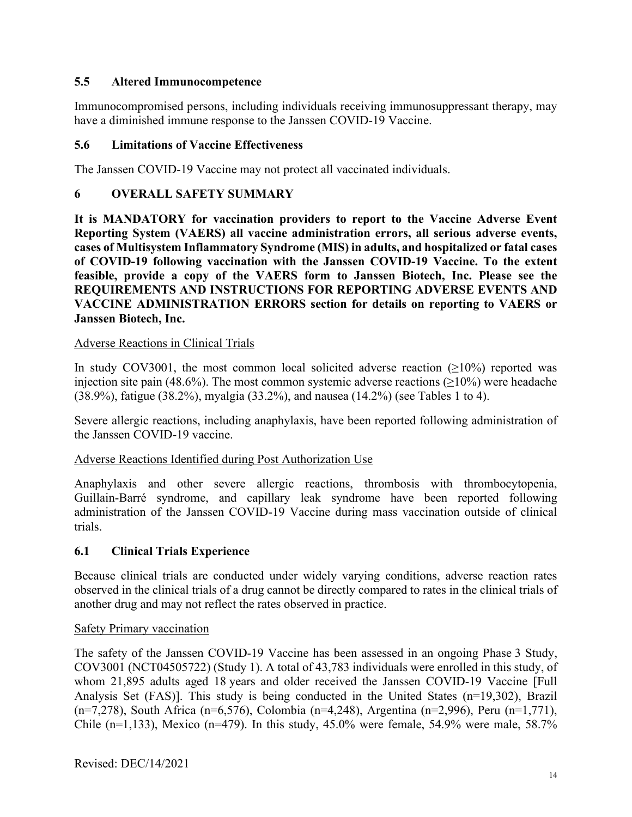### <span id="page-13-0"></span>**5.5 Altered Immunocompetence**

Immunocompromised persons, including individuals receiving immunosuppressant therapy, may have a diminished immune response to the Janssen COVID-19 Vaccine.

#### <span id="page-13-1"></span>**5.6 Limitations of Vaccine Effectiveness**

The Janssen COVID-19 Vaccine may not protect all vaccinated individuals.

#### <span id="page-13-2"></span>**6 OVERALL SAFETY SUMMARY**

**It is MANDATORY for vaccination providers to report to the Vaccine Adverse Event Reporting System (VAERS) all vaccine administration errors, all serious adverse events, cases of Multisystem Inflammatory Syndrome (MIS) in adults, and hospitalized or fatal cases of COVID-19 following vaccination with the Janssen COVID-19 Vaccine. To the extent feasible, provide a copy of the VAERS form to Janssen Biotech, Inc. Please see the REQUIREMENTS AND INSTRUCTIONS FOR REPORTING ADVERSE EVENTS AND VACCINE ADMINISTRATION ERRORS section for details on reporting to VAERS or Janssen Biotech, Inc.**

#### Adverse Reactions in Clinical Trials

In study COV3001, the most common local solicited adverse reaction ( $\geq 10\%$ ) reported was injection site pain (48.6%). The most common systemic adverse reactions ( $\geq$ 10%) were headache (38.9%), fatigue (38.2%), myalgia (33.2%), and nausea (14.2%) (see Tables 1 to 4).

Severe allergic reactions, including anaphylaxis, have been reported following administration of the Janssen COVID-19 vaccine.

#### Adverse Reactions Identified during Post Authorization Use

Anaphylaxis and other severe allergic reactions, thrombosis with thrombocytopenia, Guillain-Barré syndrome, and capillary leak syndrome have been reported following administration of the Janssen COVID-19 Vaccine during mass vaccination outside of clinical trials.

#### <span id="page-13-3"></span>**6.1 Clinical Trials Experience**

Because clinical trials are conducted under widely varying conditions, adverse reaction rates observed in the clinical trials of a drug cannot be directly compared to rates in the clinical trials of another drug and may not reflect the rates observed in practice.

#### Safety Primary vaccination

The safety of the Janssen COVID-19 Vaccine has been assessed in an ongoing Phase 3 Study, COV3001 (NCT04505722) (Study 1). A total of 43,783 individuals were enrolled in this study, of whom 21,895 adults aged 18 years and older received the Janssen COVID-19 Vaccine [Full Analysis Set (FAS)]. This study is being conducted in the United States (n=19,302), Brazil (n=7,278), South Africa (n=6,576), Colombia (n=4,248), Argentina (n=2,996), Peru (n=1,771), Chile (n=1,133), Mexico (n=479). In this study,  $45.0\%$  were female,  $54.9\%$  were male,  $58.7\%$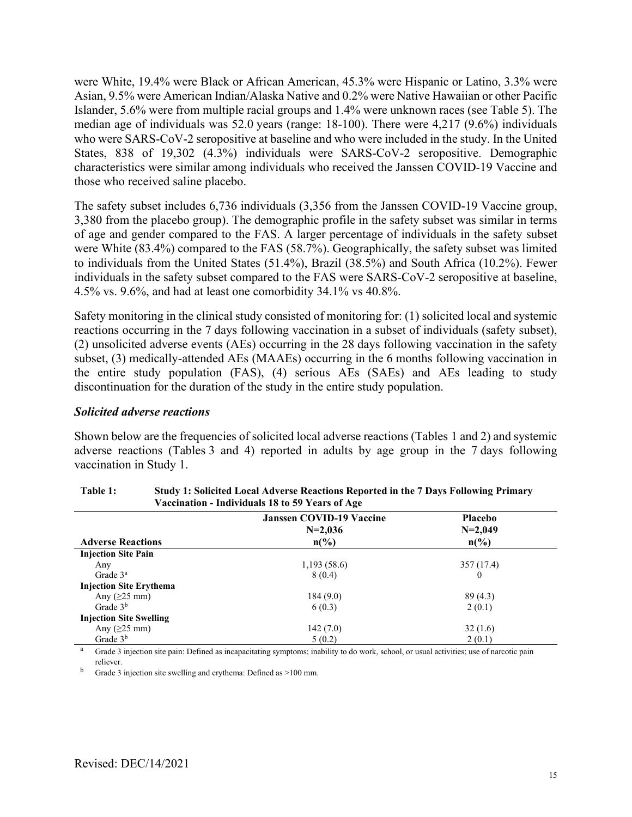were White, 19.4% were Black or African American, 45.3% were Hispanic or Latino, 3.3% were Asian, 9.5% were American Indian/Alaska Native and 0.2% were Native Hawaiian or other Pacific Islander, 5.6% were from multiple racial groups and 1.4% were unknown races (see Table 5). The median age of individuals was 52.0 years (range: 18-100). There were 4,217 (9.6%) individuals who were SARS-CoV-2 seropositive at baseline and who were included in the study. In the United States, 838 of 19,302 (4.3%) individuals were SARS-CoV-2 seropositive. Demographic characteristics were similar among individuals who received the Janssen COVID-19 Vaccine and those who received saline placebo.

The safety subset includes 6,736 individuals (3,356 from the Janssen COVID-19 Vaccine group, 3,380 from the placebo group). The demographic profile in the safety subset was similar in terms of age and gender compared to the FAS. A larger percentage of individuals in the safety subset were White (83.4%) compared to the FAS (58.7%). Geographically, the safety subset was limited to individuals from the United States (51.4%), Brazil (38.5%) and South Africa (10.2%). Fewer individuals in the safety subset compared to the FAS were SARS-CoV-2 seropositive at baseline, 4.5% vs. 9.6%, and had at least one comorbidity 34.1% vs 40.8%.

Safety monitoring in the clinical study consisted of monitoring for: (1) solicited local and systemic reactions occurring in the 7 days following vaccination in a subset of individuals (safety subset), (2) unsolicited adverse events (AEs) occurring in the 28 days following vaccination in the safety subset, (3) medically-attended AEs (MAAEs) occurring in the 6 months following vaccination in the entire study population (FAS), (4) serious AEs (SAEs) and AEs leading to study discontinuation for the duration of the study in the entire study population.

#### *Solicited adverse reactions*

Shown below are the frequencies of solicited local adverse reactions (Tables 1 and 2) and systemic adverse reactions (Tables 3 and 4) reported in adults by age group in the 7 days following vaccination in Study 1.

| vaccination - individuais to to 59 years of Age |                                              |                             |
|-------------------------------------------------|----------------------------------------------|-----------------------------|
|                                                 | <b>Janssen COVID-19 Vaccine</b><br>$N=2,036$ | <b>Placebo</b><br>$N=2,049$ |
| <b>Adverse Reactions</b>                        | $n\binom{0}{0}$                              | $n\binom{0}{0}$             |
| <b>Injection Site Pain</b>                      |                                              |                             |
| Any                                             | 1,193(58.6)                                  | 357(17.4)                   |
| Grade $3^a$                                     | 8(0.4)                                       | $\theta$                    |
| <b>Injection Site Erythema</b>                  |                                              |                             |
| Any $(25 \text{ mm})$                           | 184(9.0)                                     | 89 (4.3)                    |
| Grade $3b$                                      | 6(0.3)                                       | 2(0.1)                      |
| <b>Injection Site Swelling</b>                  |                                              |                             |
| Any $(25 \text{ mm})$                           | 142(7.0)                                     | 32(1.6)                     |
| Grade $3b$                                      | 5(0.2)                                       | 2(0.1)                      |

| Table 1: | Study 1: Solicited Local Adverse Reactions Reported in the 7 Days Following Primary |
|----------|-------------------------------------------------------------------------------------|
|          | Vaccination - Individuals 18 to 59 Years of Age                                     |

<sup>a</sup> Grade 3 injection site pain: Defined as incapacitating symptoms; inability to do work, school, or usual activities; use of narcotic pain reliever.

 $<sup>b</sup>$  Grade 3 injection site swelling and erythema: Defined as >100 mm.</sup>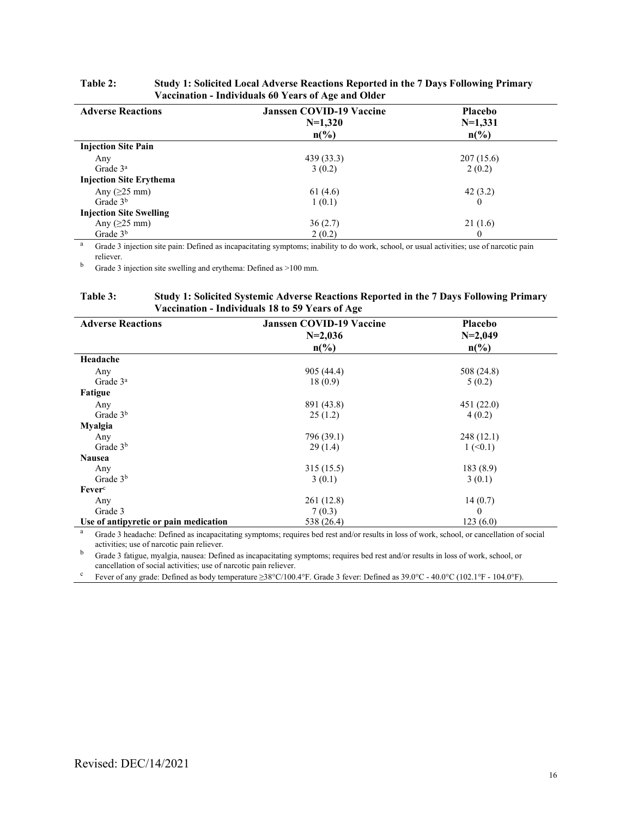| <b>Adverse Reactions</b>       | <b>Janssen COVID-19 Vaccine</b><br>$N=1,320$<br>$n\binom{0}{0}$ | <b>Placebo</b><br>$N=1,331$<br>$n\binom{0}{0}$ |
|--------------------------------|-----------------------------------------------------------------|------------------------------------------------|
| <b>Injection Site Pain</b>     |                                                                 |                                                |
|                                |                                                                 |                                                |
| Any                            | 439 (33.3)                                                      | 207(15.6)                                      |
| Grade $3a$                     | 3(0.2)                                                          | 2(0.2)                                         |
| <b>Injection Site Erythema</b> |                                                                 |                                                |
| Any $(25 \text{ mm})$          | 61 (4.6)                                                        | 42(3.2)                                        |
| Grade $3b$                     | 1(0.1)                                                          | $\theta$                                       |
| <b>Injection Site Swelling</b> |                                                                 |                                                |
| Any $(25 \text{ mm})$          | 36(2.7)                                                         | 21(1.6)                                        |
| Grade $3b$                     | 2(0.2)                                                          | $\theta$                                       |

#### **Table 2: Study 1: Solicited Local Adverse Reactions Reported in the 7 Days Following Primary Vaccination - Individuals 60 Years of Age and Older**

<sup>a</sup> Grade 3 injection site pain: Defined as incapacitating symptoms; inability to do work, school, or usual activities; use of narcotic pain reliever.

<sup>b</sup> Grade 3 injection site swelling and erythema: Defined as >100 mm.

#### **Table 3: Study 1: Solicited Systemic Adverse Reactions Reported in the 7 Days Following Primary Vaccination - Individuals 18 to 59 Years of Age**

| <b>Adverse Reactions</b>              | <b>Janssen COVID-19 Vaccine</b> | Placebo                    |
|---------------------------------------|---------------------------------|----------------------------|
|                                       | $N=2,036$                       | $N=2,049$                  |
|                                       | $n\binom{0}{0}$                 | $n\binom{0}{0}$            |
| Headache                              |                                 |                            |
| Any                                   | 905 (44.4)                      | 508 (24.8)                 |
| Grade $3a$                            | 18(0.9)                         | 5(0.2)                     |
| Fatigue                               |                                 |                            |
| Any                                   | 891 (43.8)                      | 451(22.0)                  |
| Grade $3b$                            | 25(1.2)                         | 4(0.2)                     |
| <b>Myalgia</b>                        |                                 |                            |
| Any                                   | 796 (39.1)                      | 248(12.1)                  |
| Grade 3 <sup>b</sup>                  | 29(1.4)                         | $1 \left( \le 0.1 \right)$ |
| <b>Nausea</b>                         |                                 |                            |
| Any                                   | 315(15.5)                       | 183(8.9)                   |
| Grade $3b$                            | 3(0.1)                          | 3(0.1)                     |
| Fever <sup>c</sup>                    |                                 |                            |
| Any                                   | 261(12.8)                       | 14(0.7)                    |
| Grade 3                               | 7(0.3)                          | $\Omega$                   |
| Use of antipyretic or pain medication | 538 (26.4)                      | 123(6.0)                   |

<sup>a</sup> Grade 3 headache: Defined as incapacitating symptoms; requires bed rest and/or results in loss of work, school, or cancellation of social activities; use of narcotic pain reliever.

<sup>b</sup> Grade 3 fatigue, myalgia, nausea: Defined as incapacitating symptoms; requires bed rest and/or results in loss of work, school, or cancellation of social activities; use of narcotic pain reliever.

<sup>c</sup> Fever of any grade: Defined as body temperature ≥38°C/100.4°F. Grade 3 fever: Defined as 39.0°C - 40.0°C (102.1°F - 104.0°F).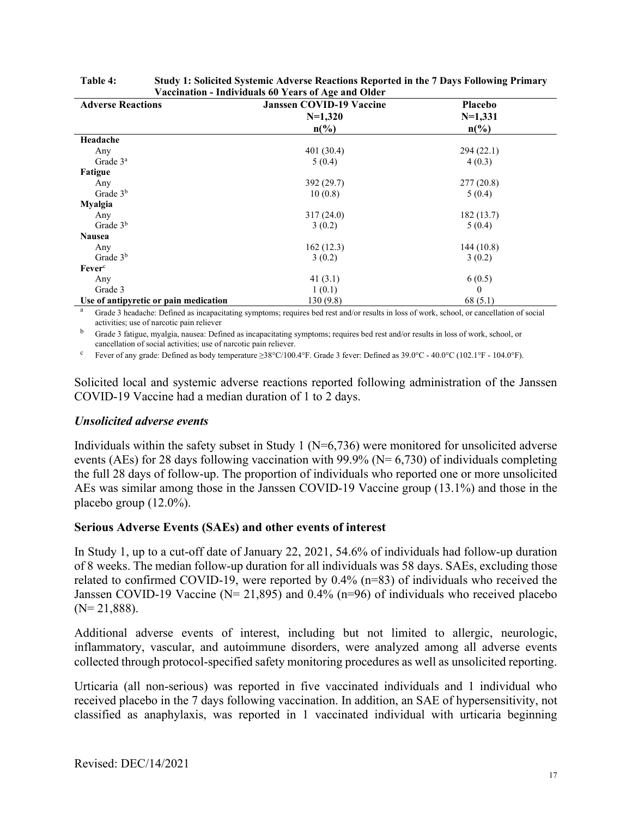| <b>Adverse Reactions</b>              | <b>Janssen COVID-19 Vaccine</b> | <b>Placebo</b>  |
|---------------------------------------|---------------------------------|-----------------|
|                                       | $N=1,320$                       | $N=1,331$       |
|                                       | $n\binom{0}{0}$                 | $n\binom{0}{0}$ |
| Headache                              |                                 |                 |
| Any                                   | 401(30.4)                       | 294(22.1)       |
| Grade $3a$                            | 5(0.4)                          | 4(0.3)          |
| Fatigue                               |                                 |                 |
| Any                                   | 392 (29.7)                      | 277(20.8)       |
| Grade $3b$                            | 10(0.8)                         | 5(0.4)          |
| <b>Myalgia</b>                        |                                 |                 |
| Any                                   | 317(24.0)                       | 182(13.7)       |
| Grade $3b$                            | 3(0.2)                          | 5(0.4)          |
| <b>Nausea</b>                         |                                 |                 |
| Any                                   | 162(12.3)                       | 144(10.8)       |
| Grade $3b$                            | 3(0.2)                          | 3(0.2)          |
| Fever <sup>c</sup>                    |                                 |                 |
| Any                                   | 41 $(3.1)$                      | 6(0.5)          |
| Grade 3                               | 1(0.1)                          | $\theta$        |
| Use of antipyretic or pain medication | 130(9.8)                        | 68(5.1)         |

| <b>Table 4:</b> | Study 1: Solicited Systemic Adverse Reactions Reported in the 7 Days Following Primary |
|-----------------|----------------------------------------------------------------------------------------|
|                 | Vaccination - Individuals 60 Years of Age and Older                                    |

<sup>a</sup> Grade 3 headache: Defined as incapacitating symptoms; requires bed rest and/or results in loss of work, school, or cancellation of social activities; use of narcotic pain reliever

<sup>b</sup> Grade 3 fatigue, myalgia, nausea: Defined as incapacitating symptoms; requires bed rest and/or results in loss of work, school, or cancellation of social activities; use of narcotic pain reliever.

<sup>c</sup> Fever of any grade: Defined as body temperature  $\geq 38^{\circ}$ C/100.4°F. Grade 3 fever: Defined as 39.0°C - 40.0°C (102.1°F - 104.0°F).

Solicited local and systemic adverse reactions reported following administration of the Janssen COVID-19 Vaccine had a median duration of 1 to 2 days.

#### *Unsolicited adverse events*

Individuals within the safety subset in Study 1 ( $N=6,736$ ) were monitored for unsolicited adverse events (AEs) for 28 days following vaccination with 99.9% ( $N = 6,730$ ) of individuals completing the full 28 days of follow-up. The proportion of individuals who reported one or more unsolicited AEs was similar among those in the Janssen COVID-19 Vaccine group (13.1%) and those in the placebo group (12.0%).

#### **Serious Adverse Events (SAEs) and other events of interest**

In Study 1, up to a cut-off date of January 22, 2021, 54.6% of individuals had follow-up duration of 8 weeks. The median follow-up duration for all individuals was 58 days. SAEs, excluding those related to confirmed COVID-19, were reported by  $0.4\%$  (n=83) of individuals who received the Janssen COVID-19 Vaccine ( $N = 21,895$ ) and 0.4% (n=96) of individuals who received placebo  $(N= 21,888)$ .

Additional adverse events of interest, including but not limited to allergic, neurologic, inflammatory, vascular, and autoimmune disorders, were analyzed among all adverse events collected through protocol-specified safety monitoring procedures as well as unsolicited reporting.

Urticaria (all non-serious) was reported in five vaccinated individuals and 1 individual who received placebo in the 7 days following vaccination. In addition, an SAE of hypersensitivity, not classified as anaphylaxis, was reported in 1 vaccinated individual with urticaria beginning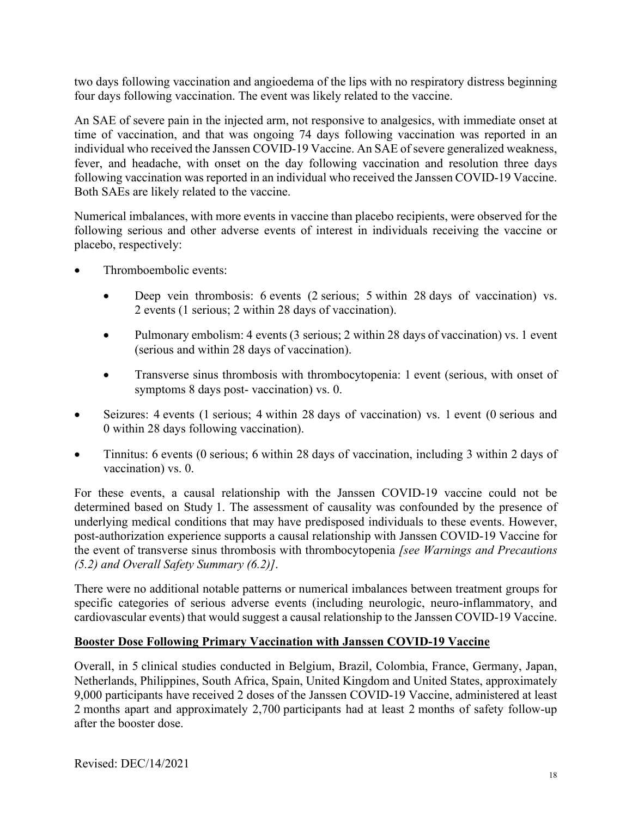two days following vaccination and angioedema of the lips with no respiratory distress beginning four days following vaccination. The event was likely related to the vaccine.

An SAE of severe pain in the injected arm, not responsive to analgesics, with immediate onset at time of vaccination, and that was ongoing 74 days following vaccination was reported in an individual who received the Janssen COVID-19 Vaccine. An SAE of severe generalized weakness, fever, and headache, with onset on the day following vaccination and resolution three days following vaccination was reported in an individual who received the Janssen COVID-19 Vaccine. Both SAEs are likely related to the vaccine.

Numerical imbalances, with more events in vaccine than placebo recipients, were observed for the following serious and other adverse events of interest in individuals receiving the vaccine or placebo, respectively:

- Thromboembolic events:
	- Deep vein thrombosis: 6 events (2 serious; 5 within 28 days of vaccination) vs. 2 events (1 serious; 2 within 28 days of vaccination).
	- Pulmonary embolism: 4 events (3 serious; 2 within 28 days of vaccination) vs. 1 event (serious and within 28 days of vaccination).
	- Transverse sinus thrombosis with thrombocytopenia: 1 event (serious, with onset of symptoms 8 days post- vaccination) vs. 0.
- Seizures: 4 events (1 serious; 4 within 28 days of vaccination) vs. 1 event (0 serious and 0 within 28 days following vaccination).
- Tinnitus: 6 events (0 serious; 6 within 28 days of vaccination, including 3 within 2 days of vaccination) vs. 0.

For these events, a causal relationship with the Janssen COVID-19 vaccine could not be determined based on Study 1. The assessment of causality was confounded by the presence of underlying medical conditions that may have predisposed individuals to these events. However, post-authorization experience supports a causal relationship with Janssen COVID-19 Vaccine for the event of transverse sinus thrombosis with thrombocytopenia *[see Warnings and Precautions (5.2) and Overall Safety Summary (6.2)]*.

There were no additional notable patterns or numerical imbalances between treatment groups for specific categories of serious adverse events (including neurologic, neuro-inflammatory, and cardiovascular events) that would suggest a causal relationship to the Janssen COVID-19 Vaccine.

## **Booster Dose Following Primary Vaccination with Janssen COVID-19 Vaccine**

Overall, in 5 clinical studies conducted in Belgium, Brazil, Colombia, France, Germany, Japan, Netherlands, Philippines, South Africa, Spain, United Kingdom and United States, approximately 9,000 participants have received 2 doses of the Janssen COVID-19 Vaccine, administered at least 2 months apart and approximately 2,700 participants had at least 2 months of safety follow-up after the booster dose.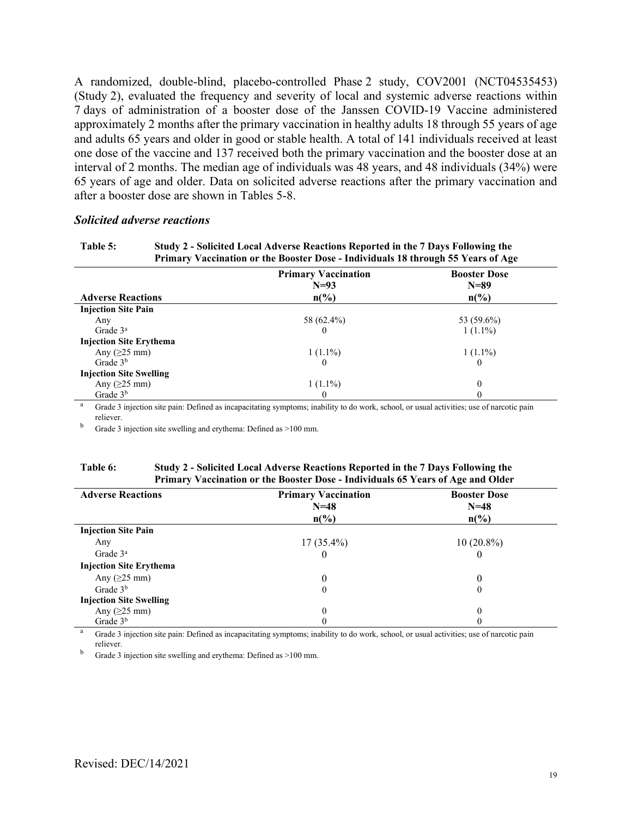A randomized, double-blind, placebo-controlled Phase 2 study, COV2001 (NCT04535453) (Study 2), evaluated the frequency and severity of local and systemic adverse reactions within 7 days of administration of a booster dose of the Janssen COVID-19 Vaccine administered approximately 2 months after the primary vaccination in healthy adults 18 through 55 years of age and adults 65 years and older in good or stable health. A total of 141 individuals received at least one dose of the vaccine and 137 received both the primary vaccination and the booster dose at an interval of 2 months. The median age of individuals was 48 years, and 48 individuals (34%) were 65 years of age and older. Data on solicited adverse reactions after the primary vaccination and after a booster dose are shown in Tables 5-8.

#### *Solicited adverse reactions*

| Table 5:                       | Study 2 - Solicited Local Adverse Reactions Reported in the 7 Days Following the<br>Primary Vaccination or the Booster Dose - Individuals 18 through 55 Years of Age |                                                                     |                                                  |
|--------------------------------|----------------------------------------------------------------------------------------------------------------------------------------------------------------------|---------------------------------------------------------------------|--------------------------------------------------|
| <b>Adverse Reactions</b>       |                                                                                                                                                                      | <b>Primary Vaccination</b><br>$N=93$<br>$n\left(\frac{6}{6}\right)$ | <b>Booster Dose</b><br>$N=89$<br>$n\binom{0}{0}$ |
| <b>Injection Site Pain</b>     |                                                                                                                                                                      |                                                                     |                                                  |
| Any                            |                                                                                                                                                                      | 58 (62.4%)                                                          | 53 (59.6%)                                       |
| Grade $3a$                     |                                                                                                                                                                      |                                                                     | $1(1.1\%)$                                       |
| <b>Injection Site Erythema</b> |                                                                                                                                                                      |                                                                     |                                                  |
| Any $(25 \text{ mm})$          |                                                                                                                                                                      | $1(1.1\%)$                                                          | $1(1.1\%)$                                       |
| Grade $3b$                     |                                                                                                                                                                      | $\theta$                                                            | $\theta$                                         |
| <b>Injection Site Swelling</b> |                                                                                                                                                                      |                                                                     |                                                  |
| Any $(25 \text{ mm})$          |                                                                                                                                                                      | $1(1.1\%)$                                                          | $\theta$                                         |
| Grade $3b$                     |                                                                                                                                                                      | $\theta$                                                            |                                                  |

<sup>a</sup> Grade 3 injection site pain: Defined as incapacitating symptoms; inability to do work, school, or usual activities; use of narcotic pain reliever.

<sup>b</sup> Grade 3 injection site swelling and erythema: Defined as >100 mm.

| Table 6: | <b>Study 2 - Solicited Local Adverse Reactions Reported in the 7 Days Following the</b> |
|----------|-----------------------------------------------------------------------------------------|
|          | Primary Vaccination or the Booster Dose - Individuals 65 Years of Age and Older         |

| <b>Adverse Reactions</b>       | <b>Primary Vaccination</b><br>$N = 48$ | <b>Booster Dose</b><br>$N = 48$ |  |
|--------------------------------|----------------------------------------|---------------------------------|--|
|                                | $n\binom{0}{0}$                        | $n\binom{0}{0}$                 |  |
| <b>Injection Site Pain</b>     |                                        |                                 |  |
| Any                            | $17(35.4\%)$                           | $10(20.8\%)$                    |  |
| Grade $3a$                     | 0                                      | $\theta$                        |  |
| <b>Injection Site Erythema</b> |                                        |                                 |  |
| Any $(25 \text{ mm})$          | $\theta$                               | $\theta$                        |  |
| Grade $3b$                     | $\boldsymbol{0}$                       | $\theta$                        |  |
| <b>Injection Site Swelling</b> |                                        |                                 |  |
| Any $(25 \text{ mm})$          | $\theta$                               | $\theta$                        |  |
| Grade 3 <sup>b</sup>           | $\theta$                               |                                 |  |

<sup>a</sup> Grade 3 injection site pain: Defined as incapacitating symptoms; inability to do work, school, or usual activities; use of narcotic pain reliever.

<sup>b</sup> Grade 3 injection site swelling and erythema: Defined as >100 mm.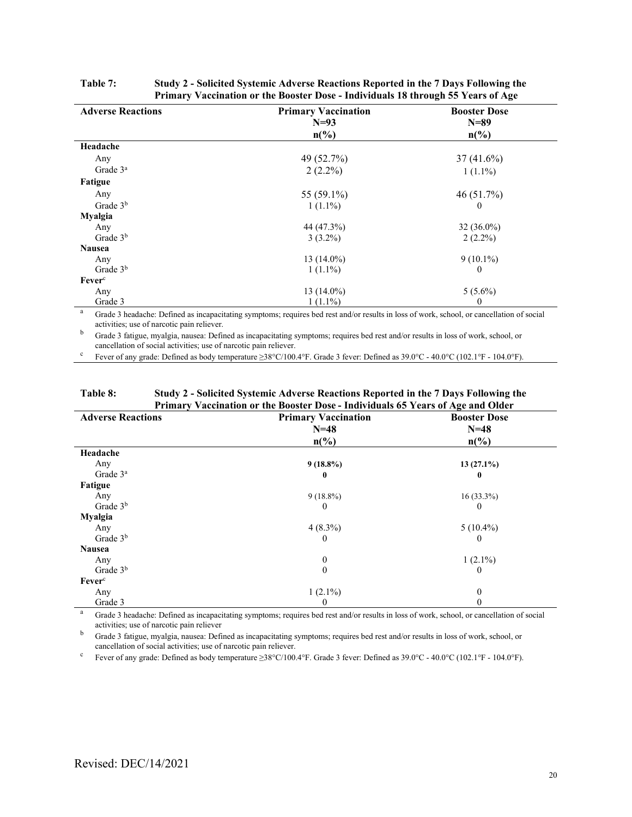| <b>Adverse Reactions</b> | <b>Primary Vaccination</b> | <b>Booster Dose</b> |
|--------------------------|----------------------------|---------------------|
|                          | $N=93$                     | $N=89$              |
|                          | $n\binom{0}{0}$            | $n\binom{0}{0}$     |
| Headache                 |                            |                     |
| Any                      | 49 (52.7%)                 | $37(41.6\%)$        |
| Grade $3a$               | $2(2.2\%)$                 | $1(1.1\%)$          |
| Fatigue                  |                            |                     |
| Any                      | 55 (59.1%)                 | 46 (51.7%)          |
| Grade $3b$               | $1(1.1\%)$                 | $\theta$            |
| Myalgia                  |                            |                     |
| Any                      | 44 (47.3%)                 | 32 (36.0%)          |
| Grade $3b$               | $3(3.2\%)$                 | $2(2.2\%)$          |
| <b>Nausea</b>            |                            |                     |
| Any                      | $13(14.0\%)$               | $9(10.1\%)$         |
| Grade 3 <sup>b</sup>     | $1(1.1\%)$                 | $\theta$            |
| Fever <sup>c</sup>       |                            |                     |
| Any                      | $13(14.0\%)$               | $5(5.6\%)$          |
| Grade 3                  | $1(1.1\%)$                 | $\mathbf{0}$        |

| <b>Table 7:</b> | Study 2 - Solicited Systemic Adverse Reactions Reported in the 7 Days Following the |
|-----------------|-------------------------------------------------------------------------------------|
|                 | Primary Vaccination or the Booster Dose - Individuals 18 through 55 Years of Age    |

<sup>a</sup> Grade 3 headache: Defined as incapacitating symptoms; requires bed rest and/or results in loss of work, school, or cancellation of social activities; use of narcotic pain reliever.

b Grade 3 fatigue, myalgia, nausea: Defined as incapacitating symptoms; requires bed rest and/or results in loss of work, school, or cancellation of social activities; use of narcotic pain reliever.

<sup>c</sup> Fever of any grade: Defined as body temperature ≥38°C/100.4°F. Grade 3 fever: Defined as 39.0°C - 40.0°C (102.1°F - 104.0°F).

| radie o:                                                                        | Study 2 - Sonched Systemic Adverse Reactions Reported in the 7 Days Following the |                     |  |  |
|---------------------------------------------------------------------------------|-----------------------------------------------------------------------------------|---------------------|--|--|
| Primary Vaccination or the Booster Dose - Individuals 65 Years of Age and Older |                                                                                   |                     |  |  |
| <b>Adverse Reactions</b>                                                        | <b>Primary Vaccination</b>                                                        | <b>Booster Dose</b> |  |  |
|                                                                                 | $N=48$                                                                            | $N=48$              |  |  |
|                                                                                 | $n\binom{0}{0}$                                                                   | $n\binom{0}{0}$     |  |  |
| Headache                                                                        |                                                                                   |                     |  |  |
| Any                                                                             | $9(18.8\%)$                                                                       | $13(27.1\%)$        |  |  |
| Grade $3^a$                                                                     |                                                                                   |                     |  |  |
| Fatigue                                                                         |                                                                                   |                     |  |  |
| Any                                                                             | $9(18.8\%)$                                                                       | $16(33.3\%)$        |  |  |
| Grade $3b$                                                                      |                                                                                   | O                   |  |  |
| <b>Myalgia</b>                                                                  |                                                                                   |                     |  |  |
| Any                                                                             | $4(8.3\%)$                                                                        | $5(10.4\%)$         |  |  |
| Grade $3b$                                                                      |                                                                                   |                     |  |  |
| <b>Nausea</b>                                                                   |                                                                                   |                     |  |  |
| Any                                                                             | $\mathbf{0}$                                                                      | $1(2.1\%)$          |  |  |
| Grade $3b$                                                                      | $\Omega$                                                                          | $\theta$            |  |  |
| Fever <sup>c</sup>                                                              |                                                                                   |                     |  |  |
| Any                                                                             | $1(2.1\%)$                                                                        | 0                   |  |  |
| Grade 3                                                                         | $\theta$                                                                          | $_{0}$              |  |  |

# **Table 8: Study 2 - Solicited Systemic Adverse Reactions Reported in the 7 Days Following the**

<sup>a</sup> Grade 3 headache: Defined as incapacitating symptoms; requires bed rest and/or results in loss of work, school, or cancellation of social activities; use of narcotic pain reliever

<sup>b</sup> Grade 3 fatigue, myalgia, nausea: Defined as incapacitating symptoms; requires bed rest and/or results in loss of work, school, or cancellation of social activities; use of narcotic pain reliever.

<sup>c</sup> Fever of any grade: Defined as body temperature ≥38°C/100.4°F. Grade 3 fever: Defined as 39.0°C - 40.0°C (102.1°F - 104.0°F).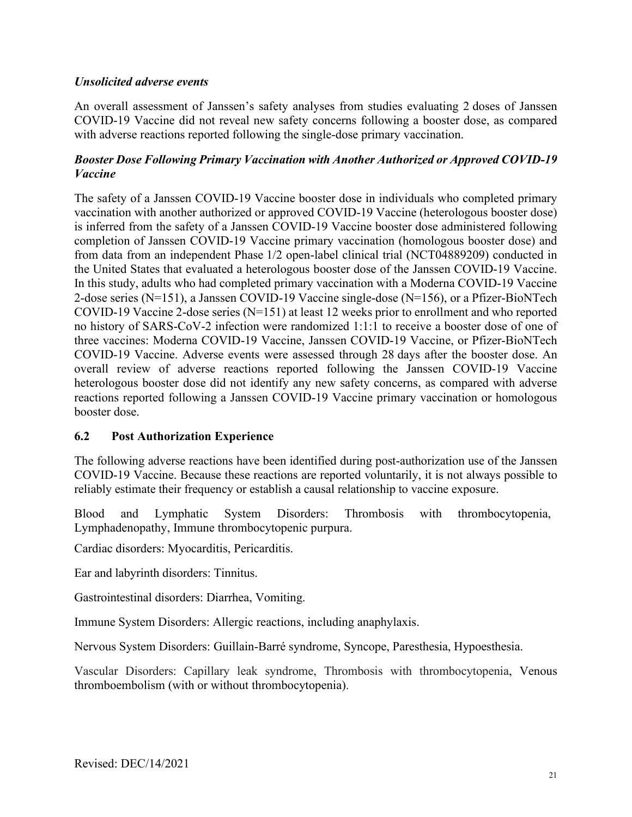### *Unsolicited adverse events*

An overall assessment of Janssen's safety analyses from studies evaluating 2 doses of Janssen COVID-19 Vaccine did not reveal new safety concerns following a booster dose, as compared with adverse reactions reported following the single-dose primary vaccination.

### *Booster Dose Following Primary Vaccination with Another Authorized or Approved COVID-19 Vaccine*

The safety of a Janssen COVID-19 Vaccine booster dose in individuals who completed primary vaccination with another authorized or approved COVID-19 Vaccine (heterologous booster dose) is inferred from the safety of a Janssen COVID-19 Vaccine booster dose administered following completion of Janssen COVID-19 Vaccine primary vaccination (homologous booster dose) and from data from an independent Phase 1/2 open-label clinical trial (NCT04889209) conducted in the United States that evaluated a heterologous booster dose of the Janssen COVID-19 Vaccine. In this study, adults who had completed primary vaccination with a Moderna COVID-19 Vaccine 2-dose series (N=151), a Janssen COVID-19 Vaccine single-dose (N=156), or a Pfizer-BioNTech COVID-19 Vaccine 2-dose series (N=151) at least 12 weeks prior to enrollment and who reported no history of SARS-CoV-2 infection were randomized 1:1:1 to receive a booster dose of one of three vaccines: Moderna COVID-19 Vaccine, Janssen COVID-19 Vaccine, or Pfizer-BioNTech COVID-19 Vaccine. Adverse events were assessed through 28 days after the booster dose. An overall review of adverse reactions reported following the Janssen COVID-19 Vaccine heterologous booster dose did not identify any new safety concerns, as compared with adverse reactions reported following a Janssen COVID-19 Vaccine primary vaccination or homologous booster dose.

#### <span id="page-20-0"></span>**6.2 Post Authorization Experience**

The following adverse reactions have been identified during post-authorization use of the Janssen COVID-19 Vaccine. Because these reactions are reported voluntarily, it is not always possible to reliably estimate their frequency or establish a causal relationship to vaccine exposure.

Blood and Lymphatic System Disorders: Thrombosis with thrombocytopenia, Lymphadenopathy, Immune thrombocytopenic purpura.

Cardiac disorders: Myocarditis, Pericarditis.

Ear and labyrinth disorders: Tinnitus.

Gastrointestinal disorders: Diarrhea, Vomiting.

Immune System Disorders: Allergic reactions, including anaphylaxis.

Nervous System Disorders: Guillain-Barré syndrome, Syncope, Paresthesia, Hypoesthesia.

Vascular Disorders: Capillary leak syndrome, Thrombosis with thrombocytopenia, Venous thromboembolism (with or without thrombocytopenia).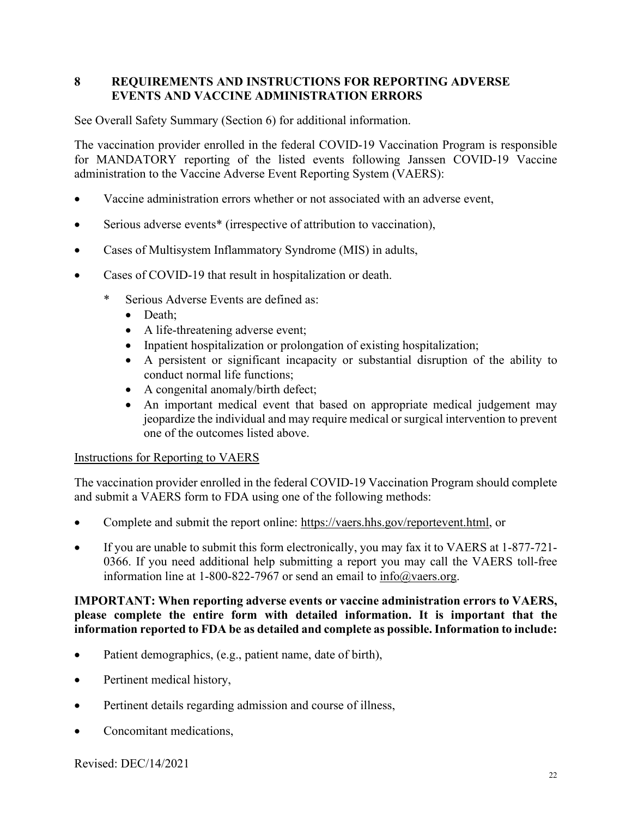## <span id="page-21-0"></span>**8 REQUIREMENTS AND INSTRUCTIONS FOR REPORTING ADVERSE EVENTS AND VACCINE ADMINISTRATION ERRORS**

See Overall Safety Summary (Section 6) for additional information.

The vaccination provider enrolled in the federal COVID-19 Vaccination Program is responsible for MANDATORY reporting of the listed events following Janssen COVID-19 Vaccine administration to the Vaccine Adverse Event Reporting System (VAERS):

- Vaccine administration errors whether or not associated with an adverse event,
- Serious adverse events<sup>\*</sup> (irrespective of attribution to vaccination),
- Cases of Multisystem Inflammatory Syndrome (MIS) in adults,
- Cases of COVID-19 that result in hospitalization or death.
	- Serious Adverse Events are defined as:
		- Death;
		- A life-threatening adverse event;
		- Inpatient hospitalization or prolongation of existing hospitalization;
		- A persistent or significant incapacity or substantial disruption of the ability to conduct normal life functions;
		- A congenital anomaly/birth defect;
		- An important medical event that based on appropriate medical judgement may jeopardize the individual and may require medical or surgical intervention to prevent one of the outcomes listed above.

## Instructions for Reporting to VAERS

The vaccination provider enrolled in the federal COVID-19 Vaccination Program should complete and submit a VAERS form to FDA using one of the following methods:

- Complete and submit the report online: [https://vaers.hhs.gov/reportevent.html,](https://vaers.hhs.gov/reportevent.html) or
- If you are unable to submit this form electronically, you may fax it to VAERS at 1-877-721- 0366. If you need additional help submitting a report you may call the VAERS toll-free information line at 1-800-822-7967 or send an email to [info@vaers.org.](mailto:info@vaers.org)

## **IMPORTANT: When reporting adverse events or vaccine administration errors to VAERS, please complete the entire form with detailed information. It is important that the information reported to FDA be as detailed and complete as possible. Information to include:**

- Patient demographics, (e.g., patient name, date of birth),
- Pertinent medical history,
- Pertinent details regarding admission and course of illness,
- Concomitant medications,

Revised: DEC/14/2021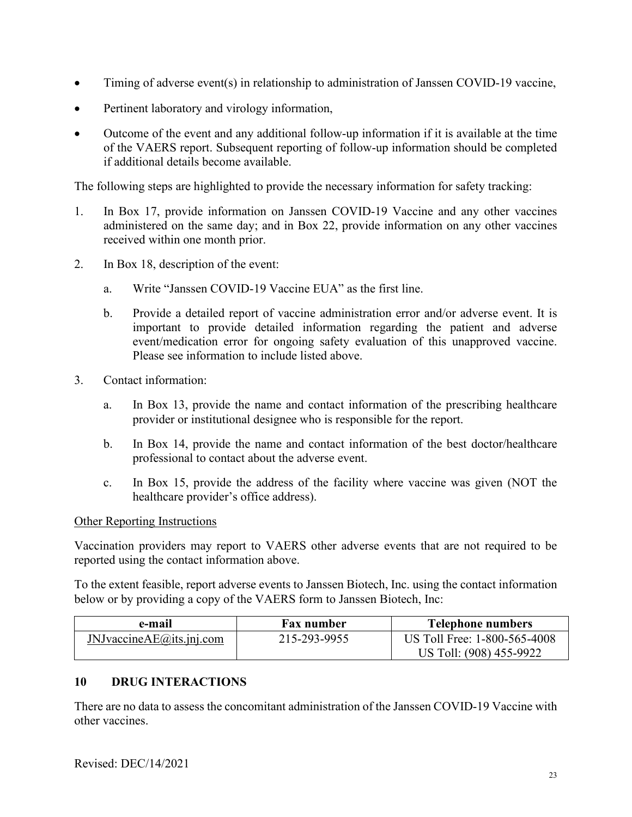- Timing of adverse event(s) in relationship to administration of Janssen COVID-19 vaccine,
- Pertinent laboratory and virology information,
- Outcome of the event and any additional follow-up information if it is available at the time of the VAERS report. Subsequent reporting of follow-up information should be completed if additional details become available.

The following steps are highlighted to provide the necessary information for safety tracking:

- 1. In Box 17, provide information on Janssen COVID-19 Vaccine and any other vaccines administered on the same day; and in Box 22, provide information on any other vaccines received within one month prior.
- 2. In Box 18, description of the event:
	- a. Write "Janssen COVID-19 Vaccine EUA" as the first line.
	- b. Provide a detailed report of vaccine administration error and/or adverse event. It is important to provide detailed information regarding the patient and adverse event/medication error for ongoing safety evaluation of this unapproved vaccine. Please see information to include listed above.
- 3. Contact information:
	- a. In Box 13, provide the name and contact information of the prescribing healthcare provider or institutional designee who is responsible for the report.
	- b. In Box 14, provide the name and contact information of the best doctor/healthcare professional to contact about the adverse event.
	- c. In Box 15, provide the address of the facility where vaccine was given (NOT the healthcare provider's office address).

#### Other Reporting Instructions

Vaccination providers may report to VAERS other adverse events that are not required to be reported using the contact information above.

To the extent feasible, report adverse events to Janssen Biotech, Inc. using the contact information below or by providing a copy of the VAERS form to Janssen Biotech, Inc:

| e-mail                          | <b>Fax number</b> | Telephone numbers                                       |
|---------------------------------|-------------------|---------------------------------------------------------|
| $J$ NJvaccine $AE$ @its.jnj.com | 215-293-9955      | US Toll Free: 1-800-565-4008<br>US Toll: (908) 455-9922 |

## <span id="page-22-0"></span>**10 DRUG INTERACTIONS**

There are no data to assess the concomitant administration of the Janssen COVID-19 Vaccine with other vaccines.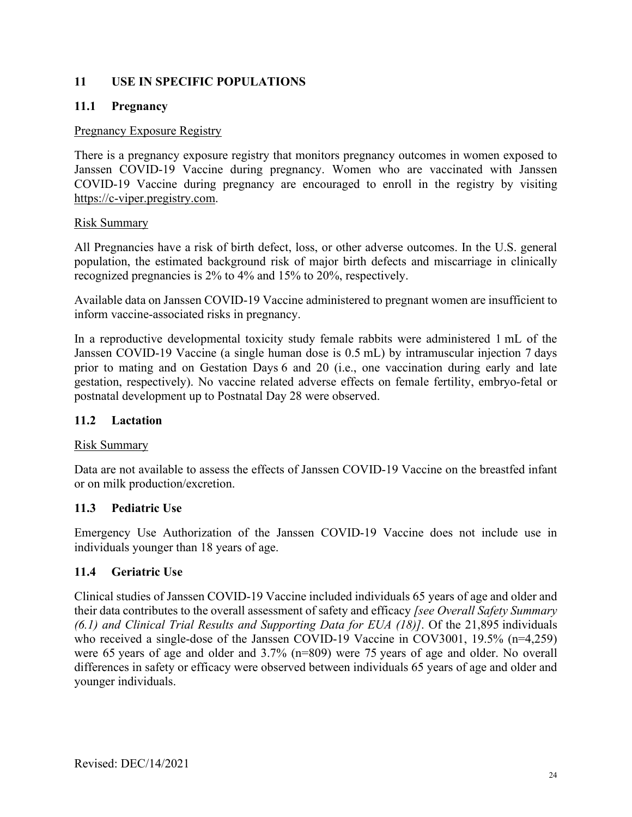## <span id="page-23-0"></span>**11 USE IN SPECIFIC POPULATIONS**

### <span id="page-23-1"></span>**11.1 Pregnancy**

#### Pregnancy Exposure Registry

There is a pregnancy exposure registry that monitors pregnancy outcomes in women exposed to Janssen COVID-19 Vaccine during pregnancy. Women who are vaccinated with Janssen COVID-19 Vaccine during pregnancy are encouraged to enroll in the registry by visiting [https://c-viper.pregistry.com.](https://cviper.pregistry.com/)

#### Risk Summary

All Pregnancies have a risk of birth defect, loss, or other adverse outcomes. In the U.S. general population, the estimated background risk of major birth defects and miscarriage in clinically recognized pregnancies is 2% to 4% and 15% to 20%, respectively.

Available data on Janssen COVID-19 Vaccine administered to pregnant women are insufficient to inform vaccine-associated risks in pregnancy.

In a reproductive developmental toxicity study female rabbits were administered 1 mL of the Janssen COVID-19 Vaccine (a single human dose is 0.5 mL) by intramuscular injection 7 days prior to mating and on Gestation Days 6 and 20 (i.e., one vaccination during early and late gestation, respectively). No vaccine related adverse effects on female fertility, embryo-fetal or postnatal development up to Postnatal Day 28 were observed.

## <span id="page-23-2"></span>**11.2 Lactation**

#### Risk Summary

Data are not available to assess the effects of Janssen COVID-19 Vaccine on the breastfed infant or on milk production/excretion.

#### <span id="page-23-3"></span>**11.3 Pediatric Use**

Emergency Use Authorization of the Janssen COVID-19 Vaccine does not include use in individuals younger than 18 years of age.

## <span id="page-23-4"></span>**11.4 Geriatric Use**

Clinical studies of Janssen COVID-19 Vaccine included individuals 65 years of age and older and their data contributes to the overall assessment of safety and efficacy *[see Overall Safety Summary (6.1) and Clinical Trial Results and Supporting Data for EUA (18)]*. Of the 21,895 individuals who received a single-dose of the Janssen COVID-19 Vaccine in COV3001, 19.5% (n=4,259) were 65 years of age and older and 3.7% (n=809) were 75 years of age and older. No overall differences in safety or efficacy were observed between individuals 65 years of age and older and younger individuals.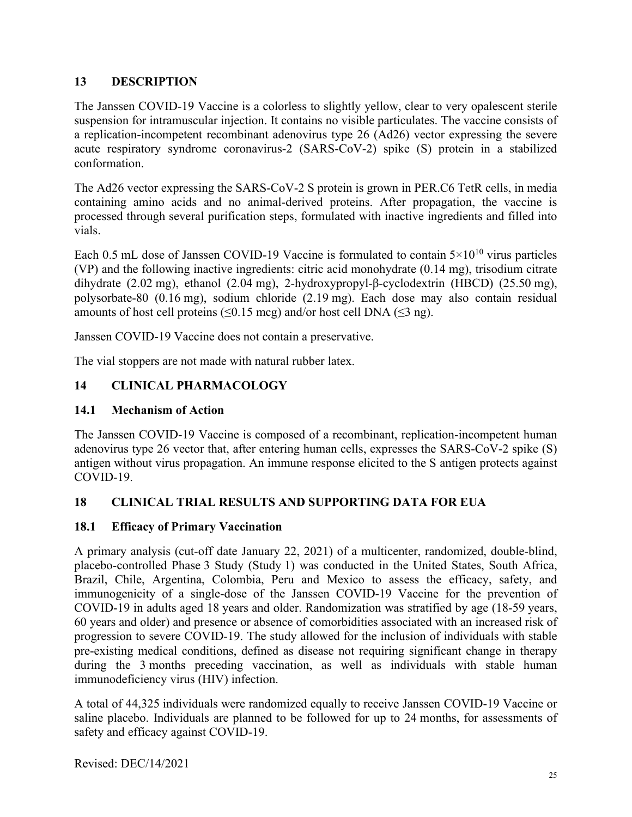## <span id="page-24-0"></span>**13 DESCRIPTION**

The Janssen COVID-19 Vaccine is a colorless to slightly yellow, clear to very opalescent sterile suspension for intramuscular injection. It contains no visible particulates. The vaccine consists of a replication-incompetent recombinant adenovirus type 26 (Ad26) vector expressing the severe acute respiratory syndrome coronavirus-2 (SARS-CoV-2) spike (S) protein in a stabilized conformation.

The Ad26 vector expressing the SARS-CoV-2 S protein is grown in PER.C6 TetR cells, in media containing amino acids and no animal-derived proteins. After propagation, the vaccine is processed through several purification steps, formulated with inactive ingredients and filled into vials.

Each 0.5 mL dose of Janssen COVID-19 Vaccine is formulated to contain  $5 \times 10^{10}$  virus particles (VP) and the following inactive ingredients: citric acid monohydrate (0.14 mg), trisodium citrate dihydrate (2.02 mg), ethanol (2.04 mg), 2-hydroxypropyl-β-cyclodextrin (HBCD) (25.50 mg), polysorbate-80 (0.16 mg), sodium chloride (2.19 mg). Each dose may also contain residual amounts of host cell proteins ( $\leq 0.15$  mcg) and/or host cell DNA ( $\leq 3$  ng).

Janssen COVID-19 Vaccine does not contain a preservative.

The vial stoppers are not made with natural rubber latex.

## <span id="page-24-1"></span>**14 CLINICAL PHARMACOLOGY**

## <span id="page-24-2"></span>**14.1 Mechanism of Action**

The Janssen COVID-19 Vaccine is composed of a recombinant, replication-incompetent human adenovirus type 26 vector that, after entering human cells, expresses the SARS-CoV-2 spike (S) antigen without virus propagation. An immune response elicited to the S antigen protects against COVID-19.

## <span id="page-24-3"></span>**18 CLINICAL TRIAL RESULTS AND SUPPORTING DATA FOR EUA**

## <span id="page-24-4"></span>**18.1 Efficacy of Primary Vaccination**

A primary analysis (cut-off date January 22, 2021) of a multicenter, randomized, double-blind, placebo-controlled Phase 3 Study (Study 1) was conducted in the United States, South Africa, Brazil, Chile, Argentina, Colombia, Peru and Mexico to assess the efficacy, safety, and immunogenicity of a single-dose of the Janssen COVID-19 Vaccine for the prevention of COVID-19 in adults aged 18 years and older. Randomization was stratified by age (18-59 years, 60 years and older) and presence or absence of comorbidities associated with an increased risk of progression to severe COVID-19. The study allowed for the inclusion of individuals with stable pre-existing medical conditions, defined as disease not requiring significant change in therapy during the 3 months preceding vaccination, as well as individuals with stable human immunodeficiency virus (HIV) infection.

A total of 44,325 individuals were randomized equally to receive Janssen COVID-19 Vaccine or saline placebo. Individuals are planned to be followed for up to 24 months, for assessments of safety and efficacy against COVID-19.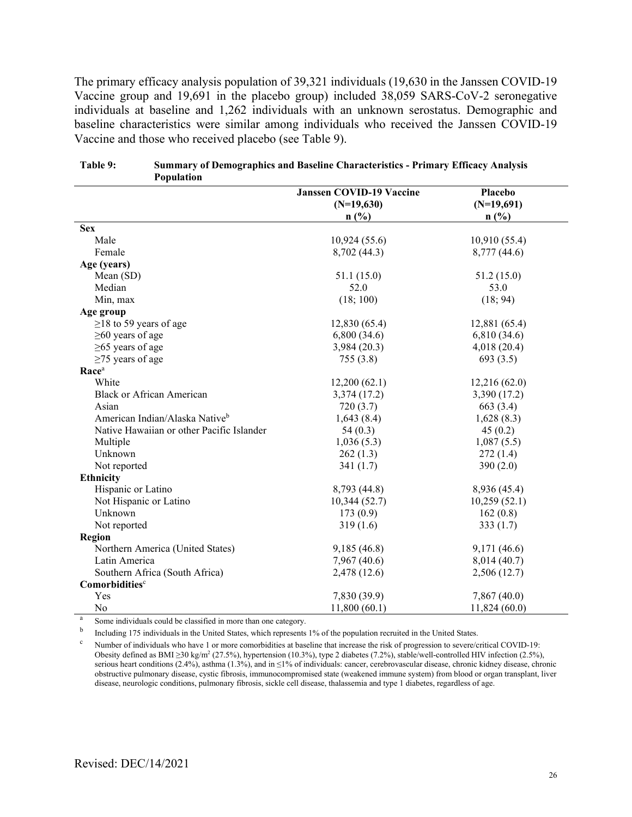The primary efficacy analysis population of 39,321 individuals (19,630 in the Janssen COVID-19 Vaccine group and 19,691 in the placebo group) included 38,059 SARS-CoV-2 seronegative individuals at baseline and 1,262 individuals with an unknown serostatus. Demographic and baseline characteristics were similar among individuals who received the Janssen COVID-19 Vaccine and those who received placebo (see Table 9).

|                                            | <b>Janssen COVID-19 Vaccine</b> | Placebo       |
|--------------------------------------------|---------------------------------|---------------|
|                                            | $(N=19,630)$                    | $(N=19,691)$  |
|                                            | n(%)                            | n(%)          |
| <b>Sex</b>                                 |                                 |               |
| Male                                       | 10,924(55.6)                    | 10,910(55.4)  |
| Female                                     | 8,702 (44.3)                    | 8,777 (44.6)  |
| Age (years)                                |                                 |               |
| Mean (SD)                                  | 51.1 (15.0)                     | 51.2(15.0)    |
| Median                                     | 52.0                            | 53.0          |
| Min, max                                   | (18; 100)                       | (18; 94)      |
| Age group                                  |                                 |               |
| $\geq$ 18 to 59 years of age               | 12,830 (65.4)                   | 12,881 (65.4) |
| $\geq 60$ years of age                     | 6,800(34.6)                     | 6,810(34.6)   |
| $\geq$ 65 years of age                     | 3,984 (20.3)                    | 4,018(20.4)   |
| $\geq$ 75 years of age                     | 755(3.8)                        | 693(3.5)      |
| Race <sup>a</sup>                          |                                 |               |
| White                                      | 12,200(62.1)                    | 12,216(62.0)  |
| <b>Black or African American</b>           | 3,374 (17.2)                    | 3,390 (17.2)  |
| Asian                                      | 720(3.7)                        | 663 (3.4)     |
| American Indian/Alaska Native <sup>b</sup> | 1,643(8.4)                      | 1,628(8.3)    |
| Native Hawaiian or other Pacific Islander  | 54 $(0.3)$                      | 45(0.2)       |
| Multiple                                   | 1,036(5.3)                      | 1,087(5.5)    |
| Unknown                                    | 262(1.3)                        | 272(1.4)      |
| Not reported                               | 341(1.7)                        | 390 $(2.0)$   |
| <b>Ethnicity</b>                           |                                 |               |
| Hispanic or Latino                         | 8,793 (44.8)                    | 8,936 (45.4)  |
| Not Hispanic or Latino                     | 10,344 (52.7)                   | 10,259(52.1)  |
| Unknown                                    | 173(0.9)                        | 162(0.8)      |
| Not reported                               | 319(1.6)                        | 333(1.7)      |
| Region                                     |                                 |               |
| Northern America (United States)           | 9,185(46.8)                     | 9,171 (46.6)  |
| Latin America                              | 7,967 (40.6)                    | 8,014 (40.7)  |
| Southern Africa (South Africa)             | 2,478 (12.6)                    | 2,506(12.7)   |
| Comorbiditiesc                             |                                 |               |
| Yes                                        | 7,830 (39.9)                    | 7,867(40.0)   |
| No                                         | 11,800(60.1)                    | 11,824(60.0)  |

#### **Table 9: Summary of Demographics and Baseline Characteristics - Primary Efficacy Analysis Population**

<sup>a</sup> Some individuals could be classified in more than one category.

b Including 175 individuals in the United States, which represents 1% of the population recruited in the United States.<br><sup>C</sup> Number of individuals who have 1 or more comorbidities at baseline that increase the risk of prog

<sup>c</sup> Number of individuals who have 1 or more comorbidities at baseline that increase the risk of progression to severe/critical COVID-19: Obesity defined as BMI ≥30 kg/m2 (27.5%), hypertension (10.3%), type 2 diabetes (7.2%), stable/well-controlled HIV infection (2.5%), serious heart conditions (2.4%), asthma (1.3%), and in ≤1% of individuals: cancer, cerebrovascular disease, chronic kidney disease, chronic obstructive pulmonary disease, cystic fibrosis, immunocompromised state (weakened immune system) from blood or organ transplant, liver disease, neurologic conditions, pulmonary fibrosis, sickle cell disease, thalassemia and type 1 diabetes, regardless of age.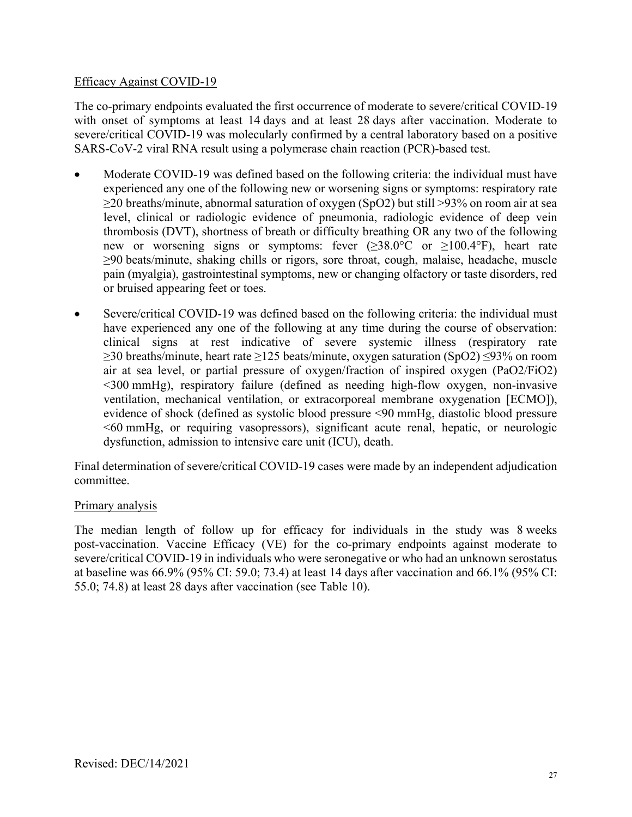### Efficacy Against COVID-19

The co-primary endpoints evaluated the first occurrence of moderate to severe/critical COVID-19 with onset of symptoms at least 14 days and at least 28 days after vaccination. Moderate to severe/critical COVID-19 was molecularly confirmed by a central laboratory based on a positive SARS-CoV-2 viral RNA result using a polymerase chain reaction (PCR)-based test.

- Moderate COVID-19 was defined based on the following criteria: the individual must have experienced any one of the following new or worsening signs or symptoms: respiratory rate ≥20 breaths/minute, abnormal saturation of oxygen (SpO2) but still >93% on room air at sea level, clinical or radiologic evidence of pneumonia, radiologic evidence of deep vein thrombosis (DVT), shortness of breath or difficulty breathing OR any two of the following new or worsening signs or symptoms: fever  $(\geq 38.0^{\circ}C$  or  $\geq 100.4^{\circ}F)$ , heart rate ≥90 beats/minute, shaking chills or rigors, sore throat, cough, malaise, headache, muscle pain (myalgia), gastrointestinal symptoms, new or changing olfactory or taste disorders, red or bruised appearing feet or toes.
- Severe/critical COVID-19 was defined based on the following criteria: the individual must have experienced any one of the following at any time during the course of observation: clinical signs at rest indicative of severe systemic illness (respiratory rate  $\geq$ 30 breaths/minute, heart rate  $\geq$ 125 beats/minute, oxygen saturation (SpO2)  $\leq$ 93% on room air at sea level, or partial pressure of oxygen/fraction of inspired oxygen (PaO2/FiO2) <300 mmHg), respiratory failure (defined as needing high-flow oxygen, non-invasive ventilation, mechanical ventilation, or extracorporeal membrane oxygenation [ECMO]), evidence of shock (defined as systolic blood pressure <90 mmHg, diastolic blood pressure <60 mmHg, or requiring vasopressors), significant acute renal, hepatic, or neurologic dysfunction, admission to intensive care unit (ICU), death.

Final determination of severe/critical COVID-19 cases were made by an independent adjudication committee.

#### Primary analysis

The median length of follow up for efficacy for individuals in the study was 8 weeks post-vaccination. Vaccine Efficacy (VE) for the co-primary endpoints against moderate to severe/critical COVID-19 in individuals who were seronegative or who had an unknown serostatus at baseline was 66.9% (95% CI: 59.0; 73.4) at least 14 days after vaccination and 66.1% (95% CI: 55.0; 74.8) at least 28 days after vaccination (see Table 10).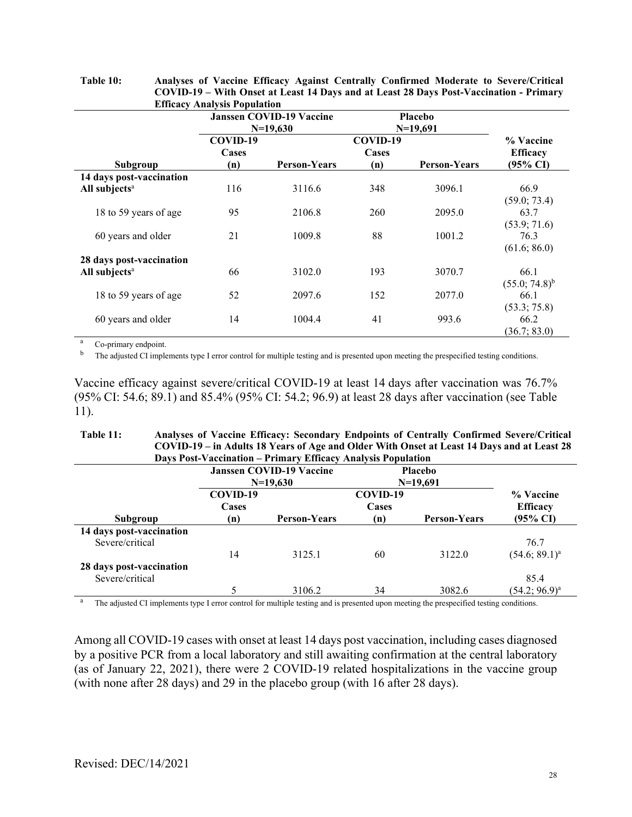| Еписасу тапатузіз і ориганон                          | <b>Janssen COVID-19 Vaccine</b><br>$N=19,630$ |                     | Placebo<br>$N=19,691$    |                     |                                                     |
|-------------------------------------------------------|-----------------------------------------------|---------------------|--------------------------|---------------------|-----------------------------------------------------|
| Subgroup                                              | COVID-19<br>Cases<br>(n)                      | <b>Person-Years</b> | COVID-19<br>Cases<br>(n) | <b>Person-Years</b> | % Vaccine<br><b>Efficacy</b><br>$(95\% \text{ CI})$ |
| 14 days post-vaccination<br>All subjects <sup>a</sup> | 116                                           | 3116.6              | 348                      | 3096.1              | 66.9<br>(59.0; 73.4)                                |
| 18 to 59 years of age                                 | 95                                            | 2106.8              | 260                      | 2095.0              | 63.7<br>(53.9; 71.6)                                |
| 60 years and older                                    | 21                                            | 1009.8              | 88                       | 1001.2              | 76.3<br>(61.6; 86.0)                                |
| 28 days post-vaccination<br>All subjects <sup>a</sup> | 66                                            | 3102.0              | 193                      | 3070.7              | 66.1<br>$(55.0; 74.8)^{b}$                          |
| 18 to 59 years of age                                 | 52                                            | 2097.6              | 152                      | 2077.0              | 66.1<br>(53.3; 75.8)                                |
| 60 years and older                                    | 14                                            | 1004.4              | 41                       | 993.6               | 66.2<br>(36.7; 83.0)                                |

**Table 10: Analyses of Vaccine Efficacy Against Centrally Confirmed Moderate to Severe/Critical COVID-19 – With Onset at Least 14 Days and at Least 28 Days Post-Vaccination - Primary Efficacy Analysis Population**

<sup>a</sup> Co-primary endpoint.

<sup>b</sup> The adjusted CI implements type I error control for multiple testing and is presented upon meeting the prespecified testing conditions.

Vaccine efficacy against severe/critical COVID-19 at least 14 days after vaccination was 76.7% (95% CI: 54.6; 89.1) and 85.4% (95% CI: 54.2; 96.9) at least 28 days after vaccination (see Table 11).

#### **Table 11: Analyses of Vaccine Efficacy: Secondary Endpoints of Centrally Confirmed Severe/Critical COVID-19 – in Adults 18 Years of Age and Older With Onset at Least 14 Days and at Least 28 Days Post-Vaccination – Primary Efficacy Analysis Population**

|                                             |                          | <b>Janssen COVID-19 Vaccine</b><br>$N=19,630$ |                          | <b>Placebo</b><br>$N=19,691$ |                                          |
|---------------------------------------------|--------------------------|-----------------------------------------------|--------------------------|------------------------------|------------------------------------------|
| Subgroup                                    | COVID-19<br>Cases<br>(n) | <b>Person-Years</b>                           | COVID-19<br>Cases<br>(n) | <b>Person-Years</b>          | % Vaccine<br><b>Efficacy</b><br>(95% CI) |
| 14 days post-vaccination<br>Severe/critical | 14                       | 3125.1                                        | 60                       | 3122.0                       | 76.7<br>$(54.6; 89.1)^a$                 |
| 28 days post-vaccination<br>Severe/critical |                          | 3106.2                                        | 34                       | 3082.6                       | 85.4<br>$(54.2; 96.9)^a$                 |

<sup>a</sup> The adjusted CI implements type I error control for multiple testing and is presented upon meeting the prespecified testing conditions.

Among all COVID-19 cases with onset at least 14 days post vaccination, including cases diagnosed by a positive PCR from a local laboratory and still awaiting confirmation at the central laboratory (as of January 22, 2021), there were 2 COVID-19 related hospitalizations in the vaccine group (with none after 28 days) and 29 in the placebo group (with 16 after 28 days).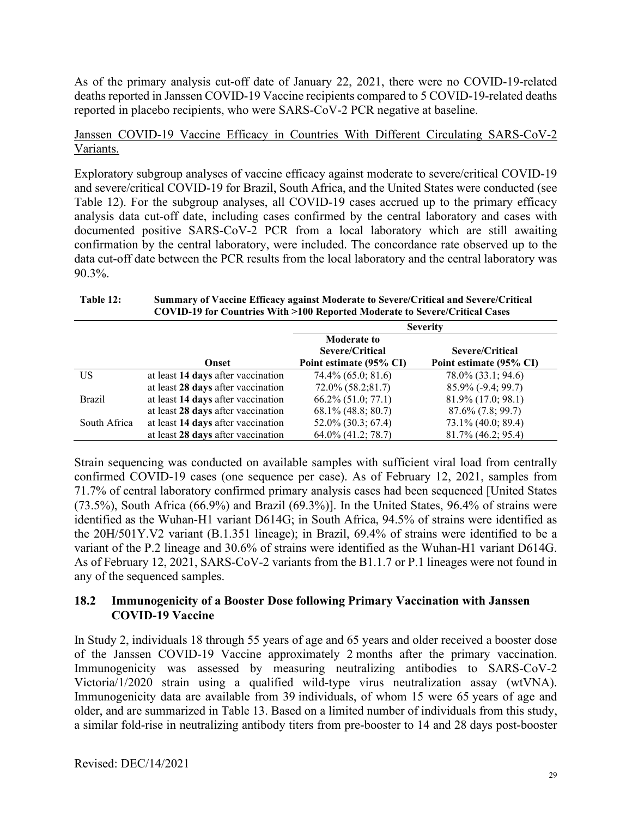As of the primary analysis cut-off date of January 22, 2021, there were no COVID-19-related deaths reported in Janssen COVID-19 Vaccine recipients compared to 5 COVID-19-related deaths reported in placebo recipients, who were SARS-CoV-2 PCR negative at baseline.

## Janssen COVID-19 Vaccine Efficacy in Countries With Different Circulating SARS-CoV-2 Variants.

Exploratory subgroup analyses of vaccine efficacy against moderate to severe/critical COVID-19 and severe/critical COVID-19 for Brazil, South Africa, and the United States were conducted (see Table 12). For the subgroup analyses, all COVID-19 cases accrued up to the primary efficacy analysis data cut-off date, including cases confirmed by the central laboratory and cases with documented positive SARS-CoV-2 PCR from a local laboratory which are still awaiting confirmation by the central laboratory, were included. The concordance rate observed up to the data cut-off date between the PCR results from the local laboratory and the central laboratory was 90.3%.

|               |                                    | <b>Severity</b>                                                  |                                            |  |
|---------------|------------------------------------|------------------------------------------------------------------|--------------------------------------------|--|
|               | Onset                              | <b>Moderate to</b><br>Severe/Critical<br>Point estimate (95% CI) | Severe/Critical<br>Point estimate (95% CI) |  |
| US            | at least 14 days after vaccination | 74.4% (65.0; 81.6)                                               | 78.0% (33.1; 94.6)                         |  |
|               | at least 28 days after vaccination | $72.0\%$ $(58.2;81.7)$                                           | 85.9% (-9.4; 99.7)                         |  |
| <b>Brazil</b> | at least 14 days after vaccination | $66.2\% (51.0; 77.1)$                                            | 81.9% (17.0; 98.1)                         |  |
|               | at least 28 days after vaccination | $68.1\%$ (48.8; 80.7)                                            | $87.6\%$ $(7.8; 99.7)$                     |  |
| South Africa  | at least 14 days after vaccination | 52.0% (30.3; 67.4)                                               | 73.1% (40.0; 89.4)                         |  |
|               | at least 28 days after vaccination | 64.0% (41.2; 78.7)                                               | 81.7% (46.2; 95.4)                         |  |

#### **Table 12: Summary of Vaccine Efficacy against Moderate to Severe/Critical and Severe/Critical COVID-19 for Countries With >100 Reported Moderate to Severe/Critical Cases**

Strain sequencing was conducted on available samples with sufficient viral load from centrally confirmed COVID-19 cases (one sequence per case). As of February 12, 2021, samples from 71.7% of central laboratory confirmed primary analysis cases had been sequenced [United States (73.5%), South Africa (66.9%) and Brazil (69.3%)]. In the United States, 96.4% of strains were identified as the Wuhan-H1 variant D614G; in South Africa, 94.5% of strains were identified as the 20H/501Y.V2 variant (B.1.351 lineage); in Brazil, 69.4% of strains were identified to be a variant of the P.2 lineage and 30.6% of strains were identified as the Wuhan-H1 variant D614G. As of February 12, 2021, SARS-CoV-2 variants from the B1.1.7 or P.1 lineages were not found in any of the sequenced samples.

## <span id="page-28-0"></span>**18.2 Immunogenicity of a Booster Dose following Primary Vaccination with Janssen COVID-19 Vaccine**

In Study 2, individuals 18 through 55 years of age and 65 years and older received a booster dose of the Janssen COVID-19 Vaccine approximately 2 months after the primary vaccination. Immunogenicity was assessed by measuring neutralizing antibodies to SARS-CoV-2 Victoria/1/2020 strain using a qualified wild-type virus neutralization assay (wtVNA). Immunogenicity data are available from 39 individuals, of whom 15 were 65 years of age and older, and are summarized in Table 13. Based on a limited number of individuals from this study, a similar fold-rise in neutralizing antibody titers from pre-booster to 14 and 28 days post-booster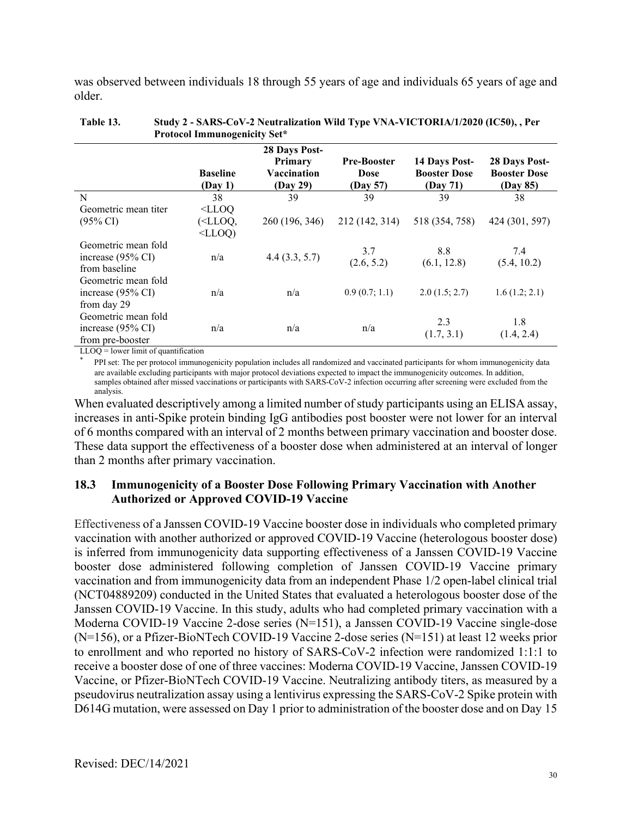was observed between individuals 18 through 55 years of age and individuals 65 years of age and older.

|                                                                      | <b>Baseline</b><br>(Day 1)                                       | 28 Days Post-<br>Primary<br>Vaccination<br>(Day 29) | <b>Pre-Booster</b><br><b>Dose</b><br>(Day 57) | 14 Days Post-<br><b>Booster Dose</b><br>(Day 71) | 28 Days Post-<br><b>Booster Dose</b><br>(Day 85) |
|----------------------------------------------------------------------|------------------------------------------------------------------|-----------------------------------------------------|-----------------------------------------------|--------------------------------------------------|--------------------------------------------------|
| N                                                                    | 38                                                               | 39                                                  | 39                                            | 39                                               | 38                                               |
| Geometric mean titer<br>$(95\% \text{ CI})$                          | $<$ LLOQ<br>$\left($ <lloq,<br><math>&lt;</math>LLOQ)</lloq,<br> | 260 (196, 346)                                      | 212 (142, 314)                                | 518 (354, 758)                                   | 424 (301, 597)                                   |
| Geometric mean fold<br>increase $(95\% \text{ CI})$<br>from baseline | n/a                                                              | 4.4(3.3, 5.7)                                       | 3.7<br>(2.6, 5.2)                             | 8.8<br>(6.1, 12.8)                               | 7.4<br>(5.4, 10.2)                               |
| Geometric mean fold<br>increase (95% CI)<br>from day 29              | n/a                                                              | n/a                                                 | 0.9(0.7; 1.1)                                 | 2.0(1.5; 2.7)                                    | 1.6(1.2; 2.1)                                    |
| Geometric mean fold<br>increase (95% CI)<br>from pre-booster         | n/a                                                              | n/a                                                 | n/a                                           | 2.3<br>(1.7, 3.1)                                | 1.8<br>(1.4, 2.4)                                |

| Table 13. | Study 2 - SARS-CoV-2 Neutralization Wild Type VNA-VICTORIA/1/2020 (IC50), , Per |
|-----------|---------------------------------------------------------------------------------|
|           | <b>Protocol Immunogenicity Set*</b>                                             |

LLOQ = lower limit of quantification

PPI set: The per protocol immunogenicity population includes all randomized and vaccinated participants for whom immunogenicity data are available excluding participants with major protocol deviations expected to impact the immunogenicity outcomes. In addition, samples obtained after missed vaccinations or participants with SARS-CoV-2 infection occurring after screening were excluded from the analysis.

When evaluated descriptively among a limited number of study participants using an ELISA assay, increases in anti-Spike protein binding IgG antibodies post booster were not lower for an interval of 6 months compared with an interval of 2 months between primary vaccination and booster dose. These data support the effectiveness of a booster dose when administered at an interval of longer than 2 months after primary vaccination.

#### <span id="page-29-0"></span>**18.3 Immunogenicity of a Booster Dose Following Primary Vaccination with Another Authorized or Approved COVID-19 Vaccine**

Effectiveness of a Janssen COVID-19 Vaccine booster dose in individuals who completed primary vaccination with another authorized or approved COVID-19 Vaccine (heterologous booster dose) is inferred from immunogenicity data supporting effectiveness of a Janssen COVID-19 Vaccine booster dose administered following completion of Janssen COVID-19 Vaccine primary vaccination and from immunogenicity data from an independent Phase 1/2 open-label clinical trial (NCT04889209) conducted in the United States that evaluated a heterologous booster dose of the Janssen COVID-19 Vaccine. In this study, adults who had completed primary vaccination with a Moderna COVID-19 Vaccine 2-dose series (N=151), a Janssen COVID-19 Vaccine single-dose (N=156), or a Pfizer-BioNTech COVID-19 Vaccine 2-dose series (N=151) at least 12 weeks prior to enrollment and who reported no history of SARS-CoV-2 infection were randomized 1:1:1 to receive a booster dose of one of three vaccines: Moderna COVID-19 Vaccine, Janssen COVID-19 Vaccine, or Pfizer-BioNTech COVID-19 Vaccine. Neutralizing antibody titers, as measured by a pseudovirus neutralization assay using a lentivirus expressing the SARS-CoV-2 Spike protein with D614G mutation, were assessed on Day 1 prior to administration of the booster dose and on Day 15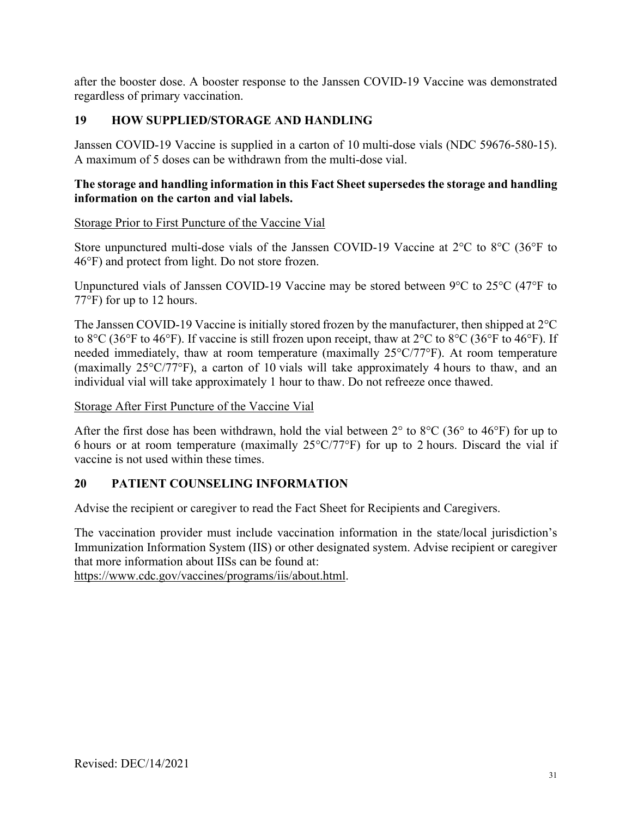after the booster dose. A booster response to the Janssen COVID-19 Vaccine was demonstrated regardless of primary vaccination.

## <span id="page-30-0"></span>**19 HOW SUPPLIED/STORAGE AND HANDLING**

Janssen COVID-19 Vaccine is supplied in a carton of 10 multi-dose vials (NDC 59676-580-15). A maximum of 5 doses can be withdrawn from the multi-dose vial.

#### **The storage and handling information in this Fact Sheet supersedes the storage and handling information on the carton and vial labels.**

#### Storage Prior to First Puncture of the Vaccine Vial

Store unpunctured multi-dose vials of the Janssen COVID-19 Vaccine at 2°C to 8°C (36°F to 46°F) and protect from light. Do not store frozen.

Unpunctured vials of Janssen COVID-19 Vaccine may be stored between 9°C to 25°C (47°F to 77°F) for up to 12 hours.

The Janssen COVID-19 Vaccine is initially stored frozen by the manufacturer, then shipped at 2°C to 8°C (36°F to 46°F). If vaccine is still frozen upon receipt, thaw at 2°C to 8°C (36°F to 46°F). If needed immediately, thaw at room temperature (maximally 25°C/77°F). At room temperature (maximally 25°C/77°F), a carton of 10 vials will take approximately 4 hours to thaw, and an individual vial will take approximately 1 hour to thaw. Do not refreeze once thawed.

Storage After First Puncture of the Vaccine Vial

After the first dose has been withdrawn, hold the vial between  $2^{\circ}$  to  $8^{\circ}$ C (36° to 46°F) for up to 6 hours or at room temperature (maximally  $25^{\circ}$ C/77°F) for up to 2 hours. Discard the vial if vaccine is not used within these times.

#### <span id="page-30-1"></span>**20 PATIENT COUNSELING INFORMATION**

Advise the recipient or caregiver to read the Fact Sheet for Recipients and Caregivers.

The vaccination provider must include vaccination information in the state/local jurisdiction's Immunization Information System (IIS) or other designated system. Advise recipient or caregiver that more information about IISs can be found at:

[https://www.cdc.gov/vaccines/programs/iis/about.html.](https://www.cdc.gov/vaccines/programs/iis/about.html)